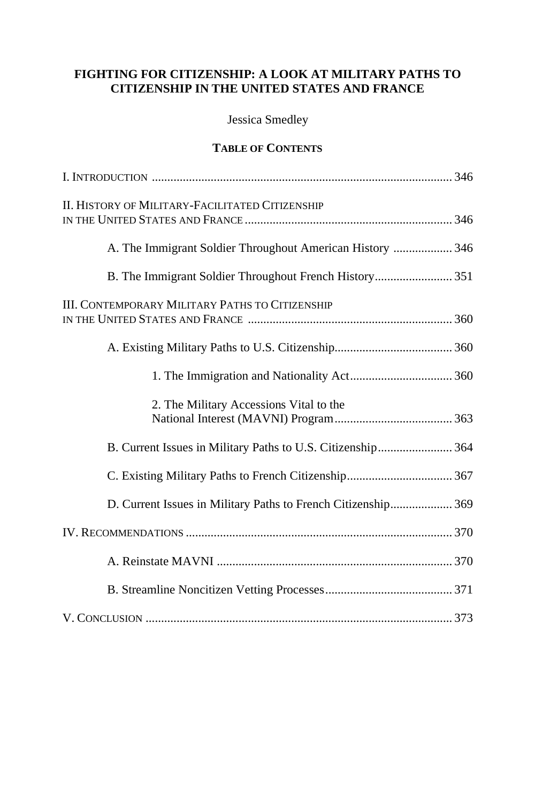# **FIGHTING FOR CITIZENSHIP: A LOOK AT MILITARY PATHS TO CITIZENSHIP IN THE UNITED STATES AND FRANCE**

# Jessica Smedley

# **TABLE OF CONTENTS**

| II. HISTORY OF MILITARY-FACILITATED CITIZENSHIP               |
|---------------------------------------------------------------|
| A. The Immigrant Soldier Throughout American History  346     |
| B. The Immigrant Soldier Throughout French History 351        |
| <b>III. CONTEMPORARY MILITARY PATHS TO CITIZENSHIP</b>        |
|                                                               |
|                                                               |
| 2. The Military Accessions Vital to the                       |
| B. Current Issues in Military Paths to U.S. Citizenship 364   |
|                                                               |
| D. Current Issues in Military Paths to French Citizenship 369 |
|                                                               |
|                                                               |
|                                                               |
|                                                               |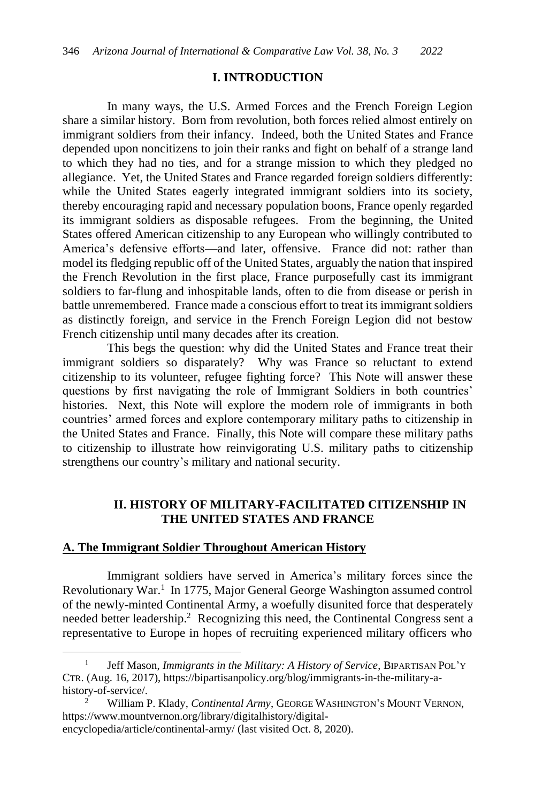#### **I. INTRODUCTION**

In many ways, the U.S. Armed Forces and the French Foreign Legion share a similar history. Born from revolution, both forces relied almost entirely on immigrant soldiers from their infancy. Indeed, both the United States and France depended upon noncitizens to join their ranks and fight on behalf of a strange land to which they had no ties, and for a strange mission to which they pledged no allegiance. Yet, the United States and France regarded foreign soldiers differently: while the United States eagerly integrated immigrant soldiers into its society, thereby encouraging rapid and necessary population boons, France openly regarded its immigrant soldiers as disposable refugees. From the beginning, the United States offered American citizenship to any European who willingly contributed to America's defensive efforts—and later, offensive. France did not: rather than model its fledging republic off of the United States, arguably the nation that inspired the French Revolution in the first place, France purposefully cast its immigrant soldiers to far-flung and inhospitable lands, often to die from disease or perish in battle unremembered. France made a conscious effort to treat its immigrant soldiers as distinctly foreign, and service in the French Foreign Legion did not bestow French citizenship until many decades after its creation.

This begs the question: why did the United States and France treat their immigrant soldiers so disparately? Why was France so reluctant to extend citizenship to its volunteer, refugee fighting force? This Note will answer these questions by first navigating the role of Immigrant Soldiers in both countries' histories. Next, this Note will explore the modern role of immigrants in both countries' armed forces and explore contemporary military paths to citizenship in the United States and France. Finally, this Note will compare these military paths to citizenship to illustrate how reinvigorating U.S. military paths to citizenship strengthens our country's military and national security.

# **II. HISTORY OF MILITARY-FACILITATED CITIZENSHIP IN THE UNITED STATES AND FRANCE**

#### **A. The Immigrant Soldier Throughout American History**

Immigrant soldiers have served in America's military forces since the Revolutionary War.<sup>1</sup> In 1775, Major General George Washington assumed control of the newly-minted Continental Army, a woefully disunited force that desperately needed better leadership.<sup>2</sup> Recognizing this need, the Continental Congress sent a representative to Europe in hopes of recruiting experienced military officers who

<sup>1</sup> Jeff Mason, *Immigrants in the Military: A History of Service*, BIPARTISAN POL'Y CTR. (Aug. 16, 2017), https://bipartisanpolicy.org/blog/immigrants-in-the-military-ahistory-of-service/.

<sup>2</sup> William P. Klady, *Continental Army*, GEORGE WASHINGTON'S MOUNT VERNON, https://www.mountvernon.org/library/digitalhistory/digitalencyclopedia/article/continental-army/ (last visited Oct. 8, 2020).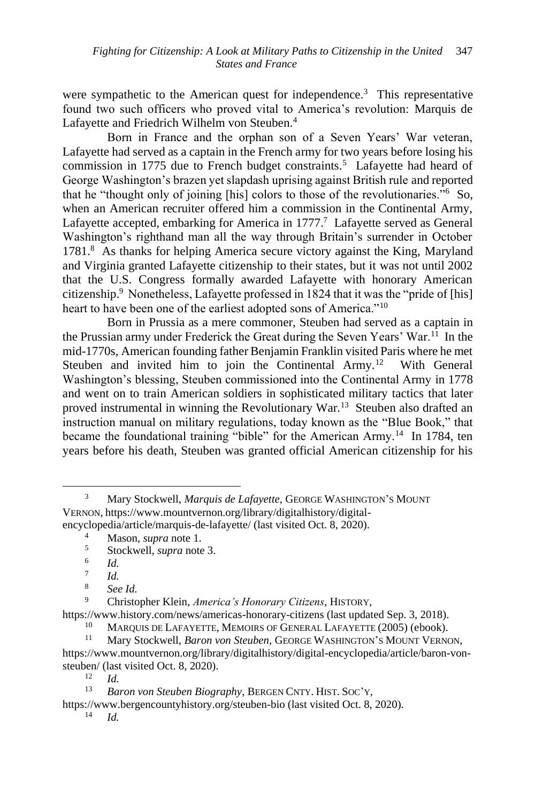were sympathetic to the American quest for independence.<sup>3</sup> This representative found two such officers who proved vital to America's revolution: Marquis de Lafayette and Friedrich Wilhelm von Steuben. 4

Born in France and the orphan son of a Seven Years' War veteran, Lafayette had served as a captain in the French army for two years before losing his commission in 1775 due to French budget constraints.<sup>5</sup> Lafayette had heard of George Washington's brazen yet slapdash uprising against British rule and reported that he "thought only of joining [his] colors to those of the revolutionaries."<sup>6</sup> So, when an American recruiter offered him a commission in the Continental Army, Lafayette accepted, embarking for America in 1777.<sup>7</sup> Lafayette served as General Washington's righthand man all the way through Britain's surrender in October 1781.<sup>8</sup> As thanks for helping America secure victory against the King, Maryland and Virginia granted Lafayette citizenship to their states, but it was not until 2002 that the U.S. Congress formally awarded Lafayette with honorary American citizenship.<sup>9</sup> Nonetheless, Lafayette professed in 1824 that it was the "pride of [his] heart to have been one of the earliest adopted sons of America."<sup>10</sup>

Born in Prussia as a mere commoner, Steuben had served as a captain in the Prussian army under Frederick the Great during the Seven Years' War.<sup>11</sup> In the mid-1770s, American founding father Benjamin Franklin visited Paris where he met Steuben and invited him to join the Continental Army.<sup>12</sup> With General Washington's blessing, Steuben commissioned into the Continental Army in 1778 and went on to train American soldiers in sophisticated military tactics that later proved instrumental in winning the Revolutionary War.<sup>13</sup> Steuben also drafted an instruction manual on military regulations, today known as the "Blue Book," that became the foundational training "bible" for the American Army.<sup>14</sup> In 1784, ten years before his death, Steuben was granted official American citizenship for his

7 *Id.*

https://www.history.com/news/americas-honorary-citizens (last updated Sep. 3, 2018).

MARQUIS DE LAFAYETTE, MEMOIRS OF GENERAL LAFAYETTE (2005) (ebook).

https://www.bergencountyhistory.org/steuben-bio (last visited Oct. 8, 2020).

<sup>3</sup> Mary Stockwell, *Marquis de Lafayette*, GEORGE WASHINGTON'S MOUNT VERNON, https://www.mountvernon.org/library/digitalhistory/digitalencyclopedia/article/marquis-de-lafayette/ (last visited Oct. 8, 2020).

<sup>4</sup> Mason, *supra* note 1.

<sup>5</sup> Stockwell, *supra* note 3.

<sup>6</sup> *Id.*

<sup>8</sup> *See Id.*

<sup>9</sup> Christopher Klein, *America's Honorary Citizens*, HISTORY,

<sup>11</sup> Mary Stockwell, *Baron von Steuben*, GEORGE WASHINGTON'S MOUNT VERNON, https://www.mountvernon.org/library/digitalhistory/digital-encyclopedia/article/baron-vonsteuben/ (last visited Oct. 8, 2020).

 $\frac{12}{13}$  *Id.* 

<sup>13</sup> *Baron von Steuben Biography*, BERGEN CNTY. HIST. SOC'Y,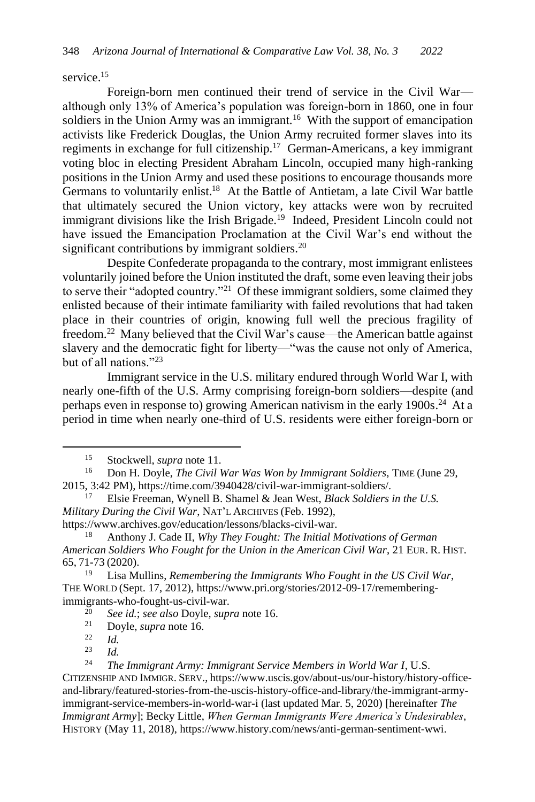service.<sup>15</sup>

Foreign-born men continued their trend of service in the Civil War although only 13% of America's population was foreign-born in 1860, one in four soldiers in the Union Army was an immigrant.<sup>16</sup> With the support of emancipation activists like Frederick Douglas, the Union Army recruited former slaves into its regiments in exchange for full citizenship.<sup>17</sup> German-Americans, a key immigrant voting bloc in electing President Abraham Lincoln, occupied many high-ranking positions in the Union Army and used these positions to encourage thousands more Germans to voluntarily enlist.<sup>18</sup> At the Battle of Antietam, a late Civil War battle that ultimately secured the Union victory, key attacks were won by recruited immigrant divisions like the Irish Brigade.<sup>19</sup> Indeed, President Lincoln could not have issued the Emancipation Proclamation at the Civil War's end without the significant contributions by immigrant soldiers.<sup>20</sup>

Despite Confederate propaganda to the contrary, most immigrant enlistees voluntarily joined before the Union instituted the draft, some even leaving their jobs to serve their "adopted country."<sup>21</sup> Of these immigrant soldiers, some claimed they enlisted because of their intimate familiarity with failed revolutions that had taken place in their countries of origin, knowing full well the precious fragility of freedom.<sup>22</sup> Many believed that the Civil War's cause—the American battle against slavery and the democratic fight for liberty—"was the cause not only of America, but of all nations."<sup>23</sup>

Immigrant service in the U.S. military endured through World War I, with nearly one-fifth of the U.S. Army comprising foreign-born soldiers—despite (and perhaps even in response to) growing American nativism in the early 1900s.<sup>24</sup> At a period in time when nearly one-third of U.S. residents were either foreign-born or

<sup>17</sup> Elsie Freeman, Wynell B. Shamel & Jean West, *Black Soldiers in the U.S. Military During the Civil War*, NAT'L ARCHIVES (Feb. 1992),

https://www.archives.gov/education/lessons/blacks-civil-war.

<sup>20</sup> *See id.*; *see also* Doyle*, supra* note 16.

<sup>15</sup> Stockwell, *supra* note 11.

<sup>16</sup> Don H. Doyle, *The Civil War Was Won by Immigrant Soldiers,* TIME (June 29, 2015, 3:42 PM), https://time.com/3940428/civil-war-immigrant-soldiers/.

<sup>18</sup> Anthony J. Cade II, *Why They Fought: The Initial Motivations of German American Soldiers Who Fought for the Union in the American Civil War*, 21 EUR. R. HIST. 65, 71-73 (2020).

<sup>19</sup> Lisa Mullins, *Remembering the Immigrants Who Fought in the US Civil War*, THE WORLD (Sept. 17, 2012), https://www.pri.org/stories/2012-09-17/rememberingimmigrants-who-fought-us-civil-war.

 $\frac{21}{22}$  Doyle, *supra* note 16.

 $\frac{22}{23}$  *Id.* 

*Id.* 

<sup>24</sup> *The Immigrant Army: Immigrant Service Members in World War I*, U.S. CITIZENSHIP AND IMMIGR. SERV., https://www.uscis.gov/about-us/our-history/history-officeand-library/featured-stories-from-the-uscis-history-office-and-library/the-immigrant-armyimmigrant-service-members-in-world-war-i (last updated Mar. 5, 2020) [hereinafter *The Immigrant Army*]; Becky Little, *When German Immigrants Were America's Undesirables*, HISTORY (May 11, 2018), https://www.history.com/news/anti-german-sentiment-wwi.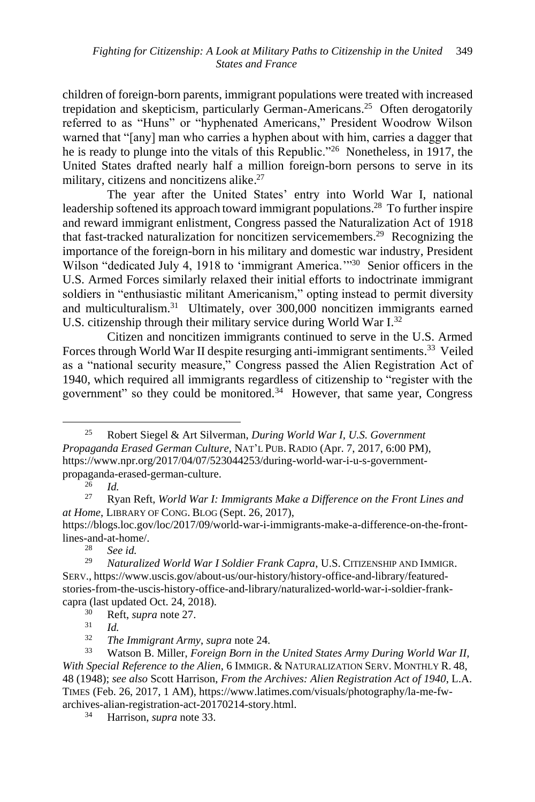children of foreign-born parents, immigrant populations were treated with increased trepidation and skepticism, particularly German-Americans.<sup>25</sup> Often derogatorily referred to as "Huns" or "hyphenated Americans," President Woodrow Wilson warned that "[any] man who carries a hyphen about with him, carries a dagger that he is ready to plunge into the vitals of this Republic."<sup>26</sup> Nonetheless, in 1917, the United States drafted nearly half a million foreign-born persons to serve in its military, citizens and noncitizens alike.<sup>27</sup>

The year after the United States' entry into World War I, national leadership softened its approach toward immigrant populations.<sup>28</sup> To further inspire and reward immigrant enlistment, Congress passed the Naturalization Act of 1918 that fast-tracked naturalization for noncitizen servicemembers.<sup>29</sup> Recognizing the importance of the foreign-born in his military and domestic war industry, President Wilson "dedicated July 4, 1918 to 'immigrant America."<sup>30</sup> Senior officers in the U.S. Armed Forces similarly relaxed their initial efforts to indoctrinate immigrant soldiers in "enthusiastic militant Americanism," opting instead to permit diversity and multiculturalism.<sup>31</sup> Ultimately, over 300,000 noncitizen immigrants earned U.S. citizenship through their military service during World War I.<sup>32</sup>

Citizen and noncitizen immigrants continued to serve in the U.S. Armed Forces through World War II despite resurging anti-immigrant sentiments.<sup>33</sup> Veiled as a "national security measure," Congress passed the Alien Registration Act of 1940, which required all immigrants regardless of citizenship to "register with the government" so they could be monitored.<sup>34</sup> However, that same year, Congress

 $\frac{26}{27}$  *Id.* 

<sup>25</sup> Robert Siegel & Art Silverman, *During World War I, U.S. Government Propaganda Erased German Culture*, NAT'L PUB. RADIO (Apr. 7, 2017, 6:00 PM), https://www.npr.org/2017/04/07/523044253/during-world-war-i-u-s-governmentpropaganda-erased-german-culture.<br> $\frac{26}{14}$ 

<sup>27</sup> Ryan Reft, *World War I: Immigrants Make a Difference on the Front Lines and at Home*, LIBRARY OF CONG. BLOG (Sept. 26, 2017),

https://blogs.loc.gov/loc/2017/09/world-war-i-immigrants-make-a-difference-on-the-frontlines-and-at-home/.<br> $\frac{28}{3}$  Sec id.

<sup>28</sup> *See id.*

<sup>29</sup> *Naturalized World War I Soldier Frank Capra*, U.S. CITIZENSHIP AND IMMIGR. SERV., https://www.uscis.gov/about-us/our-history/history-office-and-library/featuredstories-from-the-uscis-history-office-and-library/naturalized-world-war-i-soldier-frankcapra (last updated Oct. 24, 2018).<br> $30 \text{ Poft}$  suppressed 27

 $rac{30}{31}$  Reft, *supra* note 27.

 $rac{31}{32}$  *Id.* 

<sup>32</sup> *The Immigrant Army*, *supra* note 24.

<sup>33</sup> Watson B. Miller, *Foreign Born in the United States Army During World War II, With Special Reference to the Alien*, 6 IMMIGR. & NATURALIZATION SERV. MONTHLY R. 48, 48 (1948); *see also* Scott Harrison, *From the Archives: Alien Registration Act of 1940*, L.A. TIMES (Feb. 26, 2017, 1 AM), https://www.latimes.com/visuals/photography/la-me-fwarchives-alian-registration-act-20170214-story.html.

Harrison, *supra* note 33.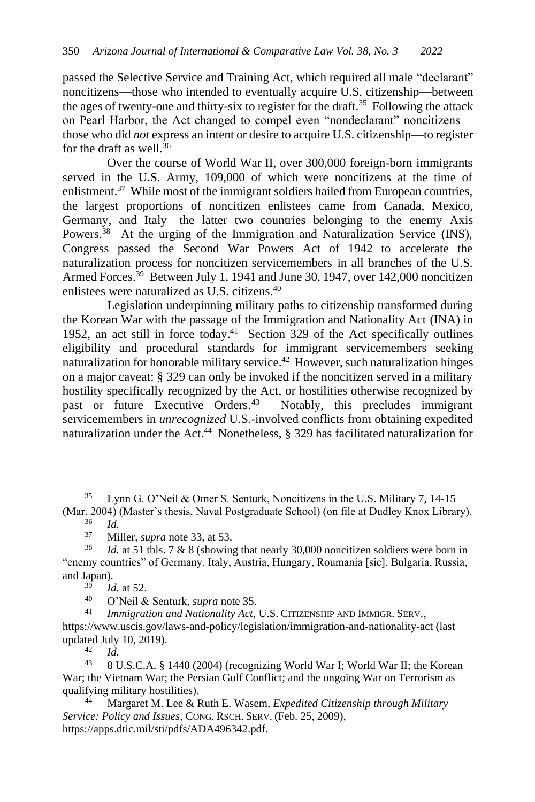passed the Selective Service and Training Act, which required all male "declarant" noncitizens—those who intended to eventually acquire U.S. citizenship—between the ages of twenty-one and thirty-six to register for the draft.<sup>35</sup> Following the attack on Pearl Harbor, the Act changed to compel even "nondeclarant" noncitizens those who did *not* express an intent or desire to acquire U.S. citizenship—to register for the draft as well.<sup>36</sup>

Over the course of World War II, over 300,000 foreign-born immigrants served in the U.S. Army, 109,000 of which were noncitizens at the time of enlistment.<sup>37</sup> While most of the immigrant soldiers hailed from European countries, the largest proportions of noncitizen enlistees came from Canada, Mexico, Germany, and Italy—the latter two countries belonging to the enemy Axis Powers.<sup>38</sup> At the urging of the Immigration and Naturalization Service (INS), Congress passed the Second War Powers Act of 1942 to accelerate the naturalization process for noncitizen servicemembers in all branches of the U.S. Armed Forces.<sup>39</sup> Between July 1, 1941 and June 30, 1947, over 142,000 noncitizen enlistees were naturalized as U.S. citizens.<sup>40</sup>

Legislation underpinning military paths to citizenship transformed during the Korean War with the passage of the Immigration and Nationality Act (INA) in 1952, an act still in force today. 41 Section 329 of the Act specifically outlines eligibility and procedural standards for immigrant servicemembers seeking naturalization for honorable military service.<sup>42</sup> However, such naturalization hinges on a major caveat: § 329 can only be invoked if the noncitizen served in a military hostility specifically recognized by the Act, or hostilities otherwise recognized by past or future Executive Orders.<sup>43</sup> Notably, this precludes immigrant servicemembers in *unrecognized* U.S.-involved conflicts from obtaining expedited naturalization under the Act.<sup>44</sup> Nonetheless, § 329 has facilitated naturalization for

<sup>35</sup> Lynn G. O'Neil & Omer S. Senturk, Noncitizens in the U.S. Military 7, 14-15 (Mar. 2004) (Master's thesis, Naval Postgraduate School) (on file at Dudley Knox Library).

<sup>36</sup> *Id.*

 $37$  Miller, *supra* note 33, at 53.<br> $38$  *Id.* at 51 thls 7 & 8 (showing

Id. at 51 tbls. 7 & 8 (showing that nearly 30,000 noncitizen soldiers were born in "enemy countries" of Germany, Italy, Austria, Hungary, Roumania [sic], Bulgaria, Russia, and Japan).

*Id.* at 52.

<sup>40</sup> O'Neil & Senturk, *supra* note 35.

<sup>41</sup> *Immigration and Nationality Act*, U.S. CITIZENSHIP AND IMMIGR. SERV., https://www.uscis.gov/laws-and-policy/legislation/immigration-and-nationality-act (last updated July 10, 2019).<br> $\frac{42}{1}$  *Id* 

<sup>43</sup> 8 U.S.C.A. § 1440 (2004) (recognizing World War I; World War II; the Korean War; the Vietnam War; the Persian Gulf Conflict; and the ongoing War on Terrorism as qualifying military hostilities).

<sup>44</sup> Margaret M. Lee & Ruth E. Wasem, *Expedited Citizenship through Military Service: Policy and Issues*, CONG. RSCH. SERV. (Feb. 25, 2009), https://apps.dtic.mil/sti/pdfs/ADA496342.pdf.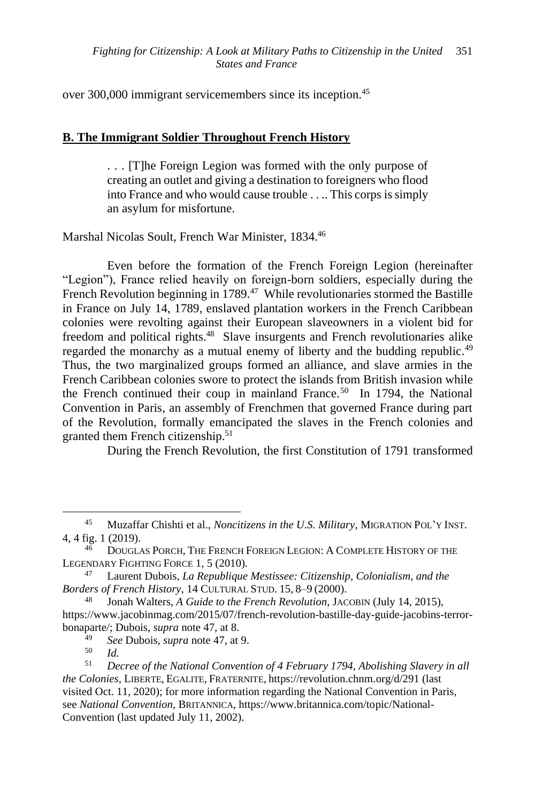over 300,000 immigrant servicemembers since its inception.<sup>45</sup>

# **B. The Immigrant Soldier Throughout French History**

. . . [T]he Foreign Legion was formed with the only purpose of creating an outlet and giving a destination to foreigners who flood into France and who would cause trouble . . .. This corps is simply an asylum for misfortune.

Marshal Nicolas Soult, French War Minister, 1834.<sup>46</sup>

Even before the formation of the French Foreign Legion (hereinafter "Legion"), France relied heavily on foreign-born soldiers, especially during the French Revolution beginning in 1789.<sup>47</sup> While revolutionaries stormed the Bastille in France on July 14, 1789, enslaved plantation workers in the French Caribbean colonies were revolting against their European slaveowners in a violent bid for freedom and political rights.<sup>48</sup> Slave insurgents and French revolutionaries alike regarded the monarchy as a mutual enemy of liberty and the budding republic.<sup>49</sup> Thus, the two marginalized groups formed an alliance, and slave armies in the French Caribbean colonies swore to protect the islands from British invasion while the French continued their coup in mainland France.<sup>50</sup> In 1794, the National Convention in Paris, an assembly of Frenchmen that governed France during part of the Revolution, formally emancipated the slaves in the French colonies and granted them French citizenship.<sup>51</sup>

During the French Revolution, the first Constitution of 1791 transformed

<sup>45</sup> Muzaffar Chishti et al., *Noncitizens in the U.S. Military*, MIGRATION POL'Y INST. 4, 4 fig. 1 (2019).

<sup>46</sup> DOUGLAS PORCH, THE FRENCH FOREIGN LEGION: A COMPLETE HISTORY OF THE LEGENDARY FIGHTING FORCE 1, 5 (2010).

<sup>47</sup> Laurent Dubois, *La Republique Mestissee: Citizenship, Colonialism, and the Borders of French History*, 14 CULTURAL STUD. 15, 8–9 (2000).

<sup>48</sup> Jonah Walters, *A Guide to the French Revolution*, JACOBIN (July 14, 2015), https://www.jacobinmag.com/2015/07/french-revolution-bastille-day-guide-jacobins-terrorbonaparte/; Dubois, *supra* note 47, at 8.

<sup>49</sup> *See* Dubois, *supra* note 47, at 9.

<sup>50</sup> *Id.*

<sup>51</sup> *Decree of the National Convention of 4 February 1794, Abolishing Slavery in all the Colonies*, LIBERTE, EGALITE, FRATERNITE, https://revolution.chnm.org/d/291 (last visited Oct. 11, 2020); for more information regarding the National Convention in Paris, see *National Convention*, BRITANNICA, https://www.britannica.com/topic/National-Convention (last updated July 11, 2002).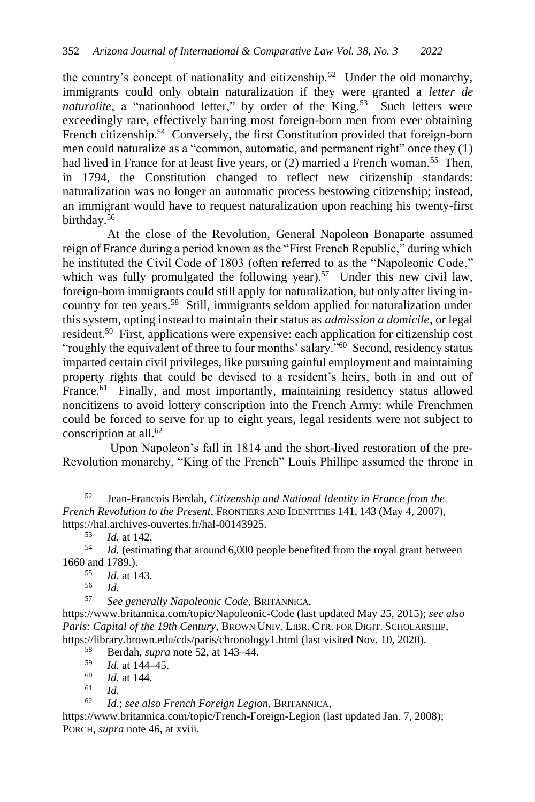the country's concept of nationality and citizenship.<sup>52</sup> Under the old monarchy, immigrants could only obtain naturalization if they were granted a *letter de*  naturalite, a "nationhood letter," by order of the King.<sup>53</sup> Such letters were exceedingly rare, effectively barring most foreign-born men from ever obtaining French citizenship.<sup>54</sup> Conversely, the first Constitution provided that foreign-born men could naturalize as a "common, automatic, and permanent right" once they (1) had lived in France for at least five years, or (2) married a French woman.<sup>55</sup> Then, in 1794, the Constitution changed to reflect new citizenship standards: naturalization was no longer an automatic process bestowing citizenship; instead, an immigrant would have to request naturalization upon reaching his twenty-first birthday.<sup>56</sup>

At the close of the Revolution, General Napoleon Bonaparte assumed reign of France during a period known as the "First French Republic," during which he instituted the Civil Code of 1803 (often referred to as the "Napoleonic Code," which was fully promulgated the following year).<sup>57</sup> Under this new civil law, foreign-born immigrants could still apply for naturalization, but only after living incountry for ten years.<sup>58</sup> Still, immigrants seldom applied for naturalization under this system, opting instead to maintain their status as *admission a domicile*, or legal resident.<sup>59</sup> First, applications were expensive: each application for citizenship cost "roughly the equivalent of three to four months' salary."<sup>60</sup> Second, residency status imparted certain civil privileges, like pursuing gainful employment and maintaining property rights that could be devised to a resident's heirs, both in and out of France.<sup>61</sup> Finally, and most importantly, maintaining residency status allowed noncitizens to avoid lottery conscription into the French Army: while Frenchmen could be forced to serve for up to eight years, legal residents were not subject to conscription at all. 62

Upon Napoleon's fall in 1814 and the short-lived restoration of the pre-Revolution monarchy, "King of the French" Louis Phillipe assumed the throne in

<sup>53</sup> *Id.* at 142.

<sup>56</sup> *Id.*

<sup>57</sup> *See generally Napoleonic Code*, BRITANNICA,

<sup>58</sup> Berdah, *supra* note 52, at 143–44.

 $\frac{59}{60}$  *Id.* at 144–45.

<sup>60</sup> *Id.* at 144.

<sup>52</sup> Jean-Francois Berdah, *Citizenship and National Identity in France from the French Revolution to the Present*, FRONTIERS AND IDENTITIES 141, 143 (May 4, 2007), https://hal.archives-ouvertes.fr/hal-00143925.

Id. (estimating that around 6,000 people benefited from the royal grant between 1660 and 1789.).

<sup>55</sup> *Id.* at 143.

https://www.britannica.com/topic/Napoleonic-Code (last updated May 25, 2015); *see also Paris: Capital of the 19th Century*, BROWN UNIV. LIBR. CTR. FOR DIGIT. SCHOLARSHIP, https://library.brown.edu/cds/paris/chronology1.html (last visited Nov. 10, 2020).<br><sup>58</sup> Berdah *sunga* note 52 at 143–44

<sup>62</sup> *Id.*; *see also French Foreign Legion*, BRITANNICA,

https://www.britannica.com/topic/French-Foreign-Legion (last updated Jan. 7, 2008); PORCH, *supra* note 46, at xviii.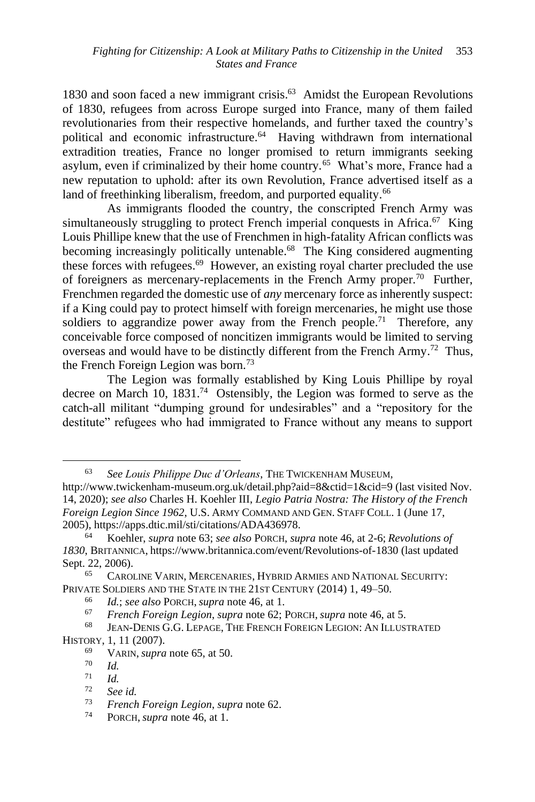1830 and soon faced a new immigrant crisis. <sup>63</sup> Amidst the European Revolutions of 1830, refugees from across Europe surged into France, many of them failed revolutionaries from their respective homelands, and further taxed the country's political and economic infrastructure. 64 Having withdrawn from international extradition treaties, France no longer promised to return immigrants seeking asylum, even if criminalized by their home country.<sup>65</sup> What's more, France had a new reputation to uphold: after its own Revolution, France advertised itself as a land of freethinking liberalism, freedom, and purported equality.<sup>66</sup>

As immigrants flooded the country, the conscripted French Army was simultaneously struggling to protect French imperial conquests in Africa.<sup>67</sup> King Louis Phillipe knew that the use of Frenchmen in high-fatality African conflicts was becoming increasingly politically untenable. 68 The King considered augmenting these forces with refugees.<sup>69</sup> However, an existing royal charter precluded the use of foreigners as mercenary-replacements in the French Army proper.<sup>70</sup> Further, Frenchmen regarded the domestic use of *any* mercenary force as inherently suspect: if a King could pay to protect himself with foreign mercenaries, he might use those soldiers to aggrandize power away from the French people.<sup>71</sup> Therefore, any conceivable force composed of noncitizen immigrants would be limited to serving overseas and would have to be distinctly different from the French Army.<sup>72</sup> Thus, the French Foreign Legion was born.<sup>73</sup>

The Legion was formally established by King Louis Phillipe by royal decree on March 10, 1831.<sup>74</sup> Ostensibly, the Legion was formed to serve as the catch-all militant "dumping ground for undesirables" and a "repository for the destitute" refugees who had immigrated to France without any means to support

<sup>63</sup> *See Louis Philippe Duc d'Orleans*, THE TWICKENHAM MUSEUM, http://www.twickenham-museum.org.uk/detail.php?aid=8&ctid=1&cid=9 (last visited Nov. 14, 2020); *see also* Charles H. Koehler III, *Legio Patria Nostra: The History of the French Foreign Legion Since 1962*, U.S. ARMY COMMAND AND GEN. STAFF COLL. 1 (June 17, 2005), https://apps.dtic.mil/sti/citations/ADA436978.

<sup>64</sup> Koehler, *supra* note 63; *see also* PORCH, *supra* note 46, at 2-6; *Revolutions of 1830*, BRITANNICA, https://www.britannica.com/event/Revolutions-of-1830 (last updated Sept. 22, 2006).

<sup>65</sup> CAROLINE VARIN, MERCENARIES, HYBRID ARMIES AND NATIONAL SECURITY: PRIVATE SOLDIERS AND THE STATE IN THE 21ST CENTURY (2014) 1, 49–50.

<sup>66</sup> *Id.*; *see also* PORCH,*supra* note 46, at 1.

<sup>67</sup> *French Foreign Legion*, *supra* note 62; PORCH,*supra* note 46, at 5.

JEAN-DENIS G.G. LEPAGE, THE FRENCH FOREIGN LEGION: AN ILLUSTRATED HISTORY, 1, 11 (2007).

<sup>69</sup> VARIN, *supra* note 65, at 50.

 $\frac{70}{71}$  *Id.* 

 $\frac{71}{72}$  *Id.* 

<sup>72</sup> *See id.*

<sup>73</sup> *French Foreign Legion*, *supra* note 62.

PORCH, *supra* note 46, at 1.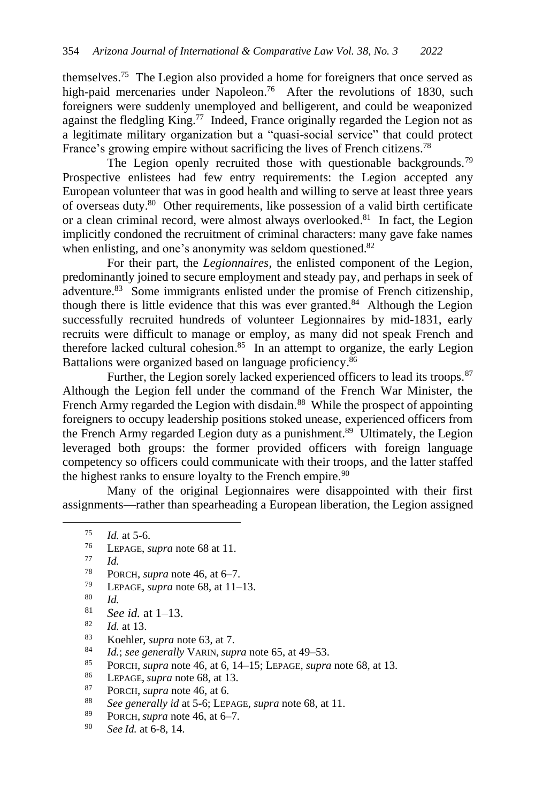themselves.<sup>75</sup> The Legion also provided a home for foreigners that once served as high-paid mercenaries under Napoleon.<sup>76</sup> After the revolutions of 1830, such foreigners were suddenly unemployed and belligerent, and could be weaponized against the fledgling King.<sup>77</sup> Indeed, France originally regarded the Legion not as a legitimate military organization but a "quasi-social service" that could protect France's growing empire without sacrificing the lives of French citizens.<sup>78</sup>

The Legion openly recruited those with questionable backgrounds.<sup>79</sup> Prospective enlistees had few entry requirements: the Legion accepted any European volunteer that was in good health and willing to serve at least three years of overseas duty.<sup>80</sup> Other requirements, like possession of a valid birth certificate or a clean criminal record, were almost always overlooked.<sup>81</sup> In fact, the Legion implicitly condoned the recruitment of criminal characters: many gave fake names when enlisting, and one's anonymity was seldom questioned.<sup>82</sup>

For their part, the *Legionnaires*, the enlisted component of the Legion, predominantly joined to secure employment and steady pay, and perhaps in seek of adventure.<sup>83</sup> Some immigrants enlisted under the promise of French citizenship, though there is little evidence that this was ever granted.<sup>84</sup> Although the Legion successfully recruited hundreds of volunteer Legionnaires by mid-1831, early recruits were difficult to manage or employ, as many did not speak French and therefore lacked cultural cohesion.<sup>85</sup> In an attempt to organize, the early Legion Battalions were organized based on language proficiency.<sup>86</sup>

Further, the Legion sorely lacked experienced officers to lead its troops.<sup>87</sup> Although the Legion fell under the command of the French War Minister, the French Army regarded the Legion with disdain.<sup>88</sup> While the prospect of appointing foreigners to occupy leadership positions stoked unease, experienced officers from the French Army regarded Legion duty as a punishment.<sup>89</sup> Ultimately, the Legion leveraged both groups: the former provided officers with foreign language competency so officers could communicate with their troops, and the latter staffed the highest ranks to ensure loyalty to the French empire.<sup>90</sup>

Many of the original Legionnaires were disappointed with their first assignments—rather than spearheading a European liberation, the Legion assigned

- <sup>79</sup> LEPAGE, *supra* note 68, at 11–13.
- $\frac{80}{81}$  *Id.*
- <sup>81</sup> *See id.* at 1–13.
- $\frac{82}{83}$  *Id.* at 13.
- 83 Koehler, *supra* note 63, at 7.<br>84 Id: see generally VARIN sur
- <sup>84</sup> *Id.*; *see generally* VARIN,*supra* note 65, at 49–53.
- <sup>85</sup> PORCH, *supra* note 46, at 6, 14–15; LEPAGE, *supra* note 68, at 13.
- <sup>86</sup> LEPAGE, *supra* note 68, at 13.
- $^{87}$  PORCH, *supra* note 46, at 6.<br> $^{88}$  See canagelly id at 5.6; LED
- <sup>88</sup> *See generally id at* 5-6; LEPAGE, *supra* note 68, at 11.<br><sup>89</sup> POPCH *supra* pote 46, at 6-7
- PORCH, *supra* note 46, at 6–7.
- <sup>90</sup> *See Id.* at 6-8, 14.

 $\frac{75}{76}$  *Id.* at 5-6.

LEPAGE, *supra* note 68 at 11.

<sup>77</sup> *Id.*

<sup>78</sup> PORCH, *supra* note 46, at 6–7.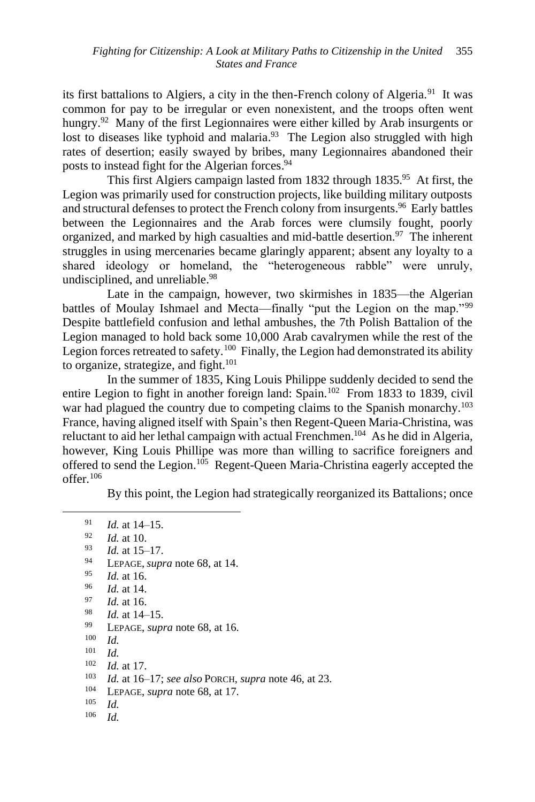its first battalions to Algiers, a city in the then-French colony of Algeria.<sup>91</sup> It was common for pay to be irregular or even nonexistent, and the troops often went hungry.<sup>92</sup> Many of the first Legionnaires were either killed by Arab insurgents or lost to diseases like typhoid and malaria.<sup>93</sup> The Legion also struggled with high rates of desertion; easily swayed by bribes, many Legionnaires abandoned their posts to instead fight for the Algerian forces.<sup>94</sup>

This first Algiers campaign lasted from 1832 through 1835.<sup>95</sup> At first, the Legion was primarily used for construction projects, like building military outposts and structural defenses to protect the French colony from insurgents.<sup>96</sup> Early battles between the Legionnaires and the Arab forces were clumsily fought, poorly organized, and marked by high casualties and mid-battle desertion.<sup>97</sup> The inherent struggles in using mercenaries became glaringly apparent; absent any loyalty to a shared ideology or homeland, the "heterogeneous rabble" were unruly, undisciplined, and unreliable.<sup>98</sup>

Late in the campaign, however, two skirmishes in 1835—the Algerian battles of Moulay Ishmael and Mecta—finally "put the Legion on the map."<sup>99</sup> Despite battlefield confusion and lethal ambushes, the 7th Polish Battalion of the Legion managed to hold back some 10,000 Arab cavalrymen while the rest of the Legion forces retreated to safety.<sup>100</sup> Finally, the Legion had demonstrated its ability to organize, strategize, and fight. $101$ 

In the summer of 1835, King Louis Philippe suddenly decided to send the entire Legion to fight in another foreign land: Spain.<sup>102</sup> From 1833 to 1839, civil war had plagued the country due to competing claims to the Spanish monarchy.<sup>103</sup> France, having aligned itself with Spain's then Regent-Queen Maria-Christina, was reluctant to aid her lethal campaign with actual Frenchmen.<sup>104</sup> As he did in Algeria, however, King Louis Phillipe was more than willing to sacrifice foreigners and offered to send the Legion.<sup>105</sup> Regent-Queen Maria-Christina eagerly accepted the offer.<sup>106</sup>

By this point, the Legion had strategically reorganized its Battalions; once

 $\frac{91}{92}$  *Id.* at 14–15.  $\frac{92}{93}$  *Id.* at 10.  $^{93}$  *Id.* at 15–17. <sup>94</sup> LEPAGE, *supra* note 68, at 14. *Id.* at 16. <sup>96</sup> *Id.* at 14. <sup>97</sup> *Id.* at 16.  $^{98}$  *Id.* at 14–15. LEPAGE, *supra* note 68, at 16.  $\frac{100}{101}$  *Id.* <sup>101</sup> *Id.*  $\frac{102}{103}$  *Id.* at 17. 103 *Id.* at 16–17; *see also* PORCH, *supra* note 46, at 23. <sup>104</sup> LEPAGE, *supra* note 68, at 17.  $\frac{105}{106}$  *Id. Id.*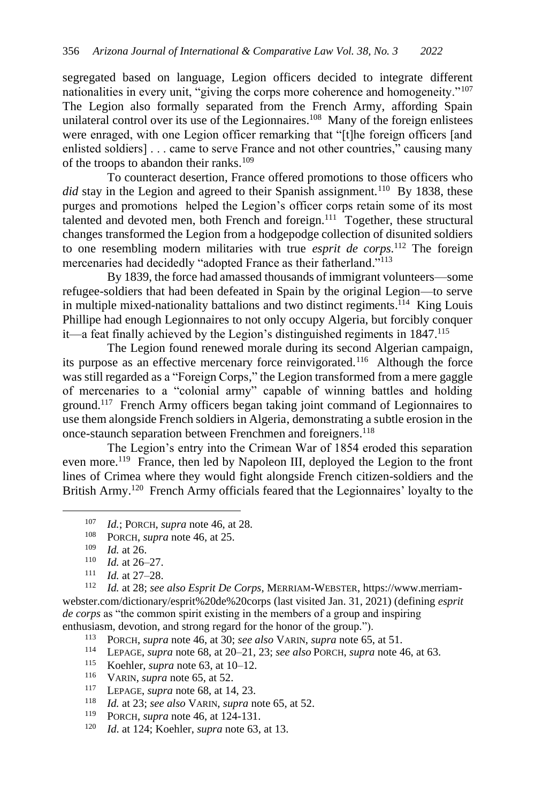segregated based on language, Legion officers decided to integrate different nationalities in every unit, "giving the corps more coherence and homogeneity."<sup>107</sup> The Legion also formally separated from the French Army, affording Spain unilateral control over its use of the Legionnaires.<sup>108</sup> Many of the foreign enlistees were enraged, with one Legion officer remarking that "[t]he foreign officers [and enlisted soldiers] . . . came to serve France and not other countries," causing many of the troops to abandon their ranks.<sup>109</sup>

To counteract desertion, France offered promotions to those officers who did stay in the Legion and agreed to their Spanish assignment.<sup>110</sup> By 1838, these purges and promotions helped the Legion's officer corps retain some of its most talented and devoted men, both French and foreign.<sup>111</sup> Together, these structural changes transformed the Legion from a hodgepodge collection of disunited soldiers to one resembling modern militaries with true *esprit de corps.*<sup>112</sup> The foreign mercenaries had decidedly "adopted France as their fatherland."<sup>113</sup>

By 1839, the force had amassed thousands of immigrant volunteers—some refugee-soldiers that had been defeated in Spain by the original Legion—to serve in multiple mixed-nationality battalions and two distinct regiments.<sup>114</sup> King Louis Phillipe had enough Legionnaires to not only occupy Algeria, but forcibly conquer it—a feat finally achieved by the Legion's distinguished regiments in 1847.<sup>115</sup>

The Legion found renewed morale during its second Algerian campaign, its purpose as an effective mercenary force reinvigorated.<sup>116</sup> Although the force was still regarded as a "Foreign Corps," the Legion transformed from a mere gaggle of mercenaries to a "colonial army" capable of winning battles and holding ground.<sup>117</sup> French Army officers began taking joint command of Legionnaires to use them alongside French soldiers in Algeria, demonstrating a subtle erosion in the once-staunch separation between Frenchmen and foreigners.<sup>118</sup>

The Legion's entry into the Crimean War of 1854 eroded this separation even more.<sup>119</sup> France, then led by Napoleon III, deployed the Legion to the front lines of Crimea where they would fight alongside French citizen-soldiers and the British Army.<sup>120</sup> French Army officials feared that the Legionnaires' loyalty to the

1d. at 28; see also Esprit De Corps, MERRIAM-WEBSTER, https://www.merriamwebster.com/dictionary/esprit%20de%20corps (last visited Jan. 31, 2021) (defining *esprit de corps* as "the common spirit existing in the members of a group and inspiring enthusiasm, devotion, and strong regard for the honor of the group.").

<sup>113</sup> PORCH, *supra* note 46, at 30; *see also* VARIN, *supra* note 65, at 51.<br><sup>114</sup> I EPACE, *supra* note 68, at 20–21, 23; *see also* POPCH, *supra* note 4

<sup>114</sup> LEPAGE, *supra* note 68, at 20–21, 23; *see also* PORCH, *supra* note 46, at 63.

- 115 Koehler, *supra* note 63, at 10–12.<br><sup>116</sup> VARIN, *supra* pote 65, at 52
- VARIN, *supra* note 65, at 52.
- <sup>117</sup> LEPAGE, *supra* note 68, at 14, 23.<br><sup>118</sup> *Id at 23: see also* VARIN *supra* n
- <sup>118</sup> *Id.* at 23; *see also* VARIN, *supra* note 65, at 52.

<sup>107</sup> *Id.*; PORCH, *supra* note 46, at 28.

<sup>&</sup>lt;sup>108</sup> PORCH, *supra* note 46, at 25.<br><sup>109</sup> *Id.* at 26.

 $\frac{109}{110}$  *Id.* at 26.

 $\frac{110}{111}$  *Id.* at 26–27.

<sup>&</sup>lt;sup>111</sup> *Id.* at 27–28.<br><sup>112</sup> *Id.* at 28: see

PORCH, *supra* note 46, at 124-131.

<sup>120</sup> *Id*. at 124; Koehler, *supra* note 63, at 13.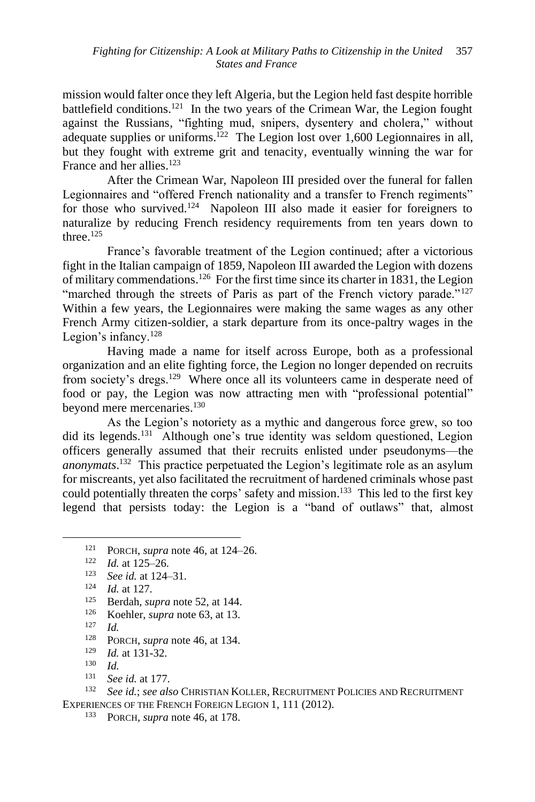mission would falter once they left Algeria, but the Legion held fast despite horrible battlefield conditions.<sup>121</sup> In the two years of the Crimean War, the Legion fought against the Russians, "fighting mud, snipers, dysentery and cholera," without adequate supplies or uniforms.<sup>122</sup> The Legion lost over 1,600 Legionnaires in all, but they fought with extreme grit and tenacity, eventually winning the war for France and her allies.<sup>123</sup>

After the Crimean War, Napoleon III presided over the funeral for fallen Legionnaires and "offered French nationality and a transfer to French regiments" for those who survived.<sup>124</sup> Napoleon III also made it easier for foreigners to naturalize by reducing French residency requirements from ten years down to three. 125

France's favorable treatment of the Legion continued; after a victorious fight in the Italian campaign of 1859, Napoleon III awarded the Legion with dozens of military commendations.<sup>126</sup> For the first time since its charter in 1831, the Legion "marched through the streets of Paris as part of the French victory parade."<sup>127</sup> Within a few years, the Legionnaires were making the same wages as any other French Army citizen-soldier, a stark departure from its once-paltry wages in the Legion's infancy.<sup>128</sup>

Having made a name for itself across Europe, both as a professional organization and an elite fighting force, the Legion no longer depended on recruits from society's dregs.<sup>129</sup> Where once all its volunteers came in desperate need of food or pay, the Legion was now attracting men with "professional potential" beyond mere mercenaries.<sup>130</sup>

As the Legion's notoriety as a mythic and dangerous force grew, so too did its legends.<sup>131</sup> Although one's true identity was seldom questioned, Legion officers generally assumed that their recruits enlisted under pseudonyms—the *anonymats*. 132 This practice perpetuated the Legion's legitimate role as an asylum for miscreants, yet also facilitated the recruitment of hardened criminals whose past could potentially threaten the corps' safety and mission.<sup>133</sup> This led to the first key legend that persists today: the Legion is a "band of outlaws" that, almost

- <sup>125</sup> Berdah, *supra* note 52, at 144.
- <sup>126</sup> Koehler, *supra* note 63, at 13.
- *Id.*
- <sup>128</sup> PORCH, *supra* note 46, at 134.
- <sup>129</sup> *Id.* at 131-32.
- <sup>130</sup> *Id.*
- <sup>131</sup> *See id.* at 177.

See id.; see also CHRISTIAN KOLLER, RECRUITMENT POLICIES AND RECRUITMENT EXPERIENCES OF THE FRENCH FOREIGN LEGION 1, 111 (2012).

<sup>133</sup> PORCH, *supra* note 46, at 178.

<sup>&</sup>lt;sup>121</sup> PORCH, *supra* note 46, at 124–26.<br><sup>122</sup> *Id at* 125, 26

*Id.* at 125–26.

<sup>123</sup> *See id.* at 124–31.

<sup>124</sup> *Id.* at 127.<br><sup>125</sup> Berdah *su*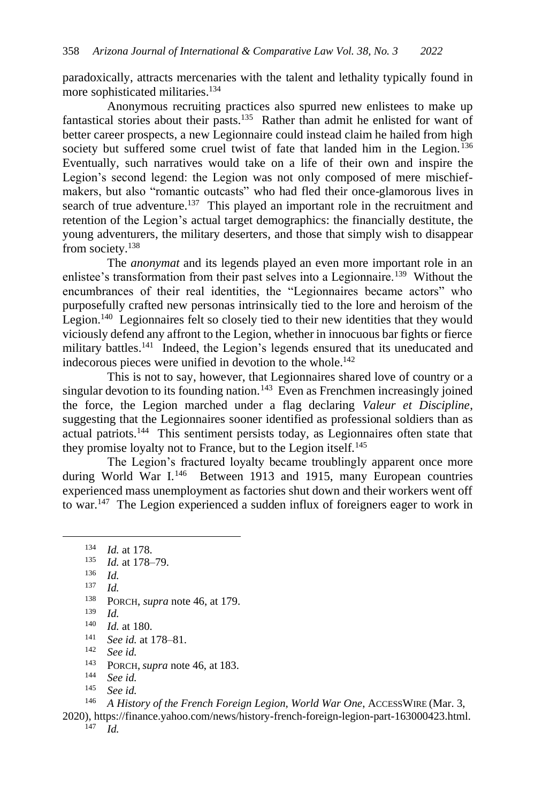paradoxically, attracts mercenaries with the talent and lethality typically found in more sophisticated militaries.<sup>134</sup>

Anonymous recruiting practices also spurred new enlistees to make up fantastical stories about their pasts.<sup>135</sup> Rather than admit he enlisted for want of better career prospects, a new Legionnaire could instead claim he hailed from high society but suffered some cruel twist of fate that landed him in the Legion.<sup>136</sup> Eventually, such narratives would take on a life of their own and inspire the Legion's second legend: the Legion was not only composed of mere mischiefmakers, but also "romantic outcasts" who had fled their once-glamorous lives in search of true adventure.<sup>137</sup> This played an important role in the recruitment and retention of the Legion's actual target demographics: the financially destitute, the young adventurers, the military deserters, and those that simply wish to disappear from society.<sup>138</sup>

The *anonymat* and its legends played an even more important role in an enlistee's transformation from their past selves into a Legionnaire.<sup>139</sup> Without the encumbrances of their real identities, the "Legionnaires became actors" who purposefully crafted new personas intrinsically tied to the lore and heroism of the Legion.<sup>140</sup> Legionnaires felt so closely tied to their new identities that they would viciously defend any affront to the Legion, whether in innocuous bar fights or fierce military battles.<sup>141</sup> Indeed, the Legion's legends ensured that its uneducated and indecorous pieces were unified in devotion to the whole.<sup>142</sup>

This is not to say, however, that Legionnaires shared love of country or a singular devotion to its founding nation.<sup>143</sup> Even as Frenchmen increasingly joined the force, the Legion marched under a flag declaring *Valeur et Discipline*, suggesting that the Legionnaires sooner identified as professional soldiers than as actual patriots.<sup>144</sup> This sentiment persists today, as Legionnaires often state that they promise loyalty not to France, but to the Legion itself.<sup>145</sup>

The Legion's fractured loyalty became troublingly apparent once more during World War I.<sup>146</sup> Between 1913 and 1915, many European countries experienced mass unemployment as factories shut down and their workers went off to war.<sup>147</sup> The Legion experienced a sudden influx of foreigners eager to work in

- $\frac{136}{137}$  *Id.*
- *Id.*

- <sup>141</sup> *See id.* at 178–81.
- See id.
- <sup>143</sup> PORCH,*supra* note 46, at 183.
- <sup>144</sup> *See id.*
- <sup>145</sup> *See id.*

 $\frac{134}{135}$  *Id.* at 178.

 $\frac{135}{136}$  *Id.* at 178–79.

<sup>&</sup>lt;sup>138</sup> PORCH, *supra* note 46, at 179.

 $\frac{140}{141}$  *Id.* at 180.

<sup>146</sup> *A History of the French Foreign Legion, World War One*, ACCESSWIRE (Mar. 3,

<sup>2020),</sup> https://finance.yahoo.com/news/history-french-foreign-legion-part-163000423.html. <sup>147</sup> *Id.*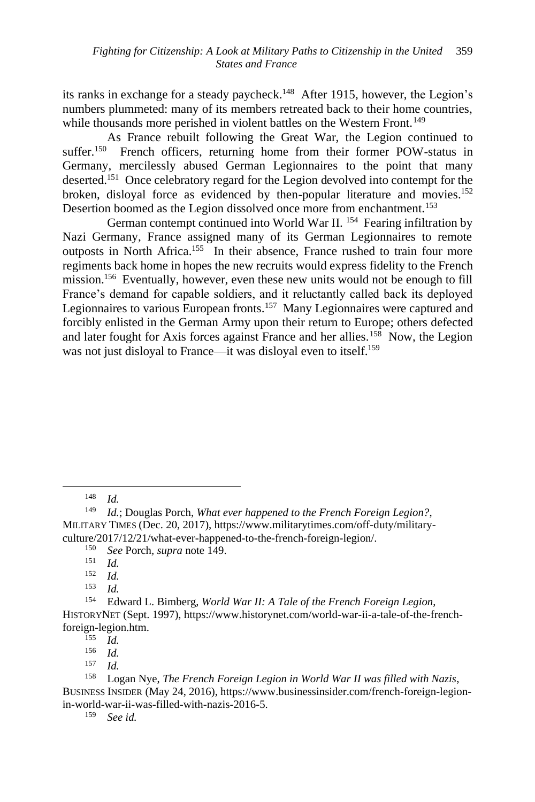its ranks in exchange for a steady paycheck.<sup>148</sup> After 1915, however, the Legion's numbers plummeted: many of its members retreated back to their home countries, while thousands more perished in violent battles on the Western Front.<sup>149</sup>

As France rebuilt following the Great War, the Legion continued to suffer.<sup>150</sup> French officers, returning home from their former POW-status in Germany, mercilessly abused German Legionnaires to the point that many deserted.<sup>151</sup> Once celebratory regard for the Legion devolved into contempt for the broken, disloyal force as evidenced by then-popular literature and movies.<sup>152</sup> Desertion boomed as the Legion dissolved once more from enchantment.<sup>153</sup>

German contempt continued into World War II.<sup>154</sup> Fearing infiltration by Nazi Germany, France assigned many of its German Legionnaires to remote outposts in North Africa.<sup>155</sup> In their absence, France rushed to train four more regiments back home in hopes the new recruits would express fidelity to the French mission.<sup>156</sup> Eventually, however, even these new units would not be enough to fill France's demand for capable soldiers, and it reluctantly called back its deployed Legionnaires to various European fronts.<sup>157</sup> Many Legionnaires were captured and forcibly enlisted in the German Army upon their return to Europe; others defected and later fought for Axis forces against France and her allies.<sup>158</sup> Now, the Legion was not just disloyal to France—it was disloyal even to itself.<sup>159</sup>

<sup>150</sup> *See* Porch*, supra* note 149.

*Id.* 

 $\frac{155}{156}$  *Id.* 

<sup>156</sup> *Id.*

<sup>159</sup> *See id.*

 $\frac{148}{149}$  *Id.* 

Id.; Douglas Porch, *What ever happened to the French Foreign Legion?*, MILITARY TIMES (Dec. 20, 2017), https://www.militarytimes.com/off-duty/militaryculture/2017/12/21/what-ever-happened-to-the-french-foreign-legion/.

 $\frac{151}{152}$  *Id.* 

 $\frac{152}{153}$  *Id.* 

<sup>154</sup> Edward L. Bimberg, *World War II: A Tale of the French Foreign Legion*, HISTORYNET (Sept. 1997), https://www.historynet.com/world-war-ii-a-tale-of-the-frenchforeign-legion.htm.

*Id.* 

<sup>158</sup> Logan Nye, *The French Foreign Legion in World War II was filled with Nazis*, BUSINESS INSIDER (May 24, 2016), https://www.businessinsider.com/french-foreign-legionin-world-war-ii-was-filled-with-nazis-2016-5.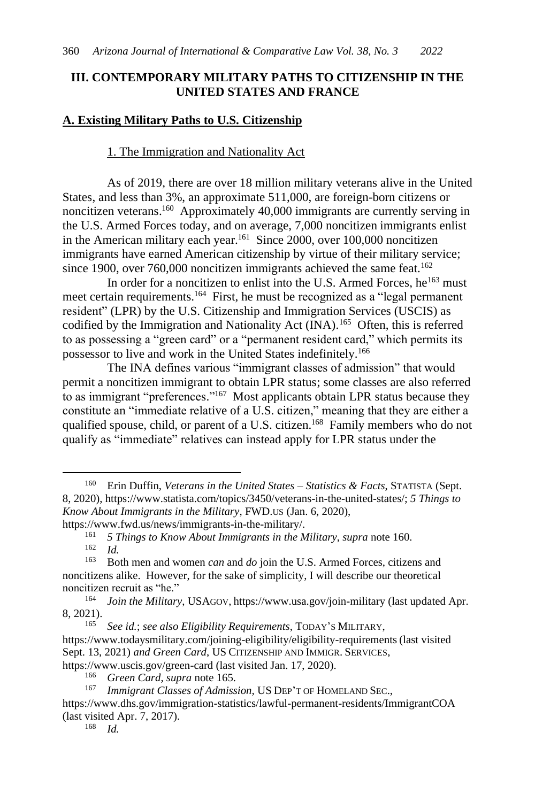# **III. CONTEMPORARY MILITARY PATHS TO CITIZENSHIP IN THE UNITED STATES AND FRANCE**

# **A. Existing Military Paths to U.S. Citizenship**

### 1. The Immigration and Nationality Act

As of 2019, there are over 18 million military veterans alive in the United States, and less than 3%, an approximate 511,000, are foreign-born citizens or noncitizen veterans. 160 Approximately 40,000 immigrants are currently serving in the U.S. Armed Forces today, and on average, 7,000 noncitizen immigrants enlist in the American military each year.<sup>161</sup> Since 2000, over 100,000 noncitizen immigrants have earned American citizenship by virtue of their military service; since 1900, over 760,000 noncitizen immigrants achieved the same feat.<sup>162</sup>

In order for a noncitizen to enlist into the U.S. Armed Forces,  $he^{163}$  must meet certain requirements.<sup>164</sup> First, he must be recognized as a "legal permanent resident" (LPR) by the U.S. Citizenship and Immigration Services (USCIS) as codified by the Immigration and Nationality Act (INA). 165 Often, this is referred to as possessing a "green card" or a "permanent resident card," which permits its possessor to live and work in the United States indefinitely.<sup>166</sup>

The INA defines various "immigrant classes of admission" that would permit a noncitizen immigrant to obtain LPR status; some classes are also referred to as immigrant "preferences."<sup>167</sup> Most applicants obtain LPR status because they constitute an "immediate relative of a U.S. citizen," meaning that they are either a qualified spouse, child, or parent of a U.S. citizen.<sup>168</sup> Family members who do not qualify as "immediate" relatives can instead apply for LPR status under the

<sup>160</sup> Erin Duffin, *Veterans in the United States – Statistics & Facts*, STATISTA (Sept. 8, 2020), https://www.statista.com/topics/3450/veterans-in-the-united-states/; *5 Things to Know About Immigrants in the Military*, FWD.US (Jan. 6, 2020), https://www.fwd.us/news/immigrants-in-the-military/.

<sup>161</sup> *5 Things to Know About Immigrants in the Military*, *supra* note 160.

 $\frac{162}{163}$  *Id.* 

<sup>163</sup> Both men and women *can* and *do* join the U.S. Armed Forces, citizens and noncitizens alike. However, for the sake of simplicity, I will describe our theoretical noncitizen recruit as "he."

<sup>164</sup> *Join the Military*, USAGOV, https://www.usa.gov/join-military (last updated Apr. 8, 2021).

<sup>165</sup> *See id.*; *see also Eligibility Requirements*, TODAY'S MILITARY, https://www.todaysmilitary.com/joining-eligibility/eligibility-requirements (last visited Sept. 13, 2021) *and Green Card*, US CITIZENSHIP AND IMMIGR. SERVICES, https://www.uscis.gov/green-card (last visited Jan. 17, 2020).

<sup>166</sup> *Green Card*, *supra* note 165.

<sup>167</sup> *Immigrant Classes of Admission,* US DEP'T OF HOMELAND SEC.,

https://www.dhs.gov/immigration-statistics/lawful-permanent-residents/ImmigrantCOA (last visited Apr. 7, 2017).

<sup>168</sup> *Id.*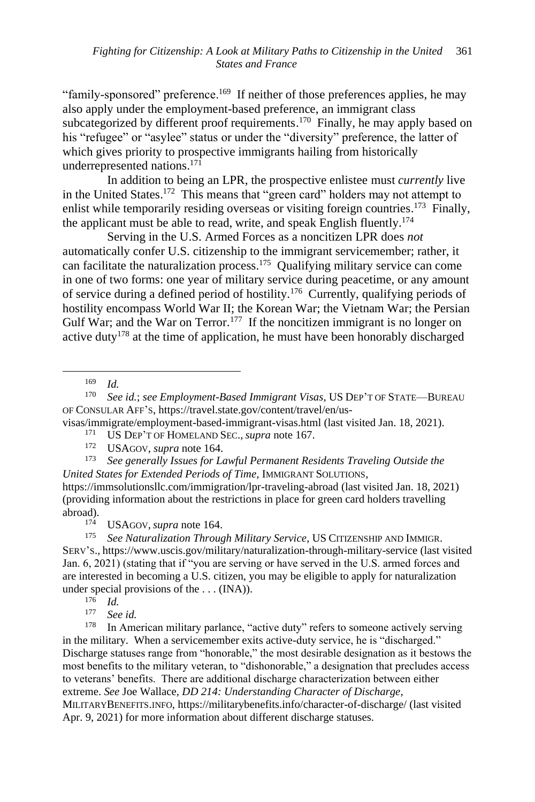"family-sponsored" preference.<sup>169</sup> If neither of those preferences applies, he may also apply under the employment-based preference, an immigrant class subcategorized by different proof requirements.<sup>170</sup> Finally, he may apply based on his "refugee" or "asylee" status or under the "diversity" preference, the latter of which gives priority to prospective immigrants hailing from historically underrepresented nations.<sup>171</sup>

In addition to being an LPR, the prospective enlistee must *currently* live in the United States.<sup>172</sup> This means that "green card" holders may not attempt to enlist while temporarily residing overseas or visiting foreign countries.<sup>173</sup> Finally, the applicant must be able to read, write, and speak English fluently.<sup>174</sup>

Serving in the U.S. Armed Forces as a noncitizen LPR does *not*  automatically confer U.S. citizenship to the immigrant servicemember; rather, it can facilitate the naturalization process.<sup>175</sup> Qualifying military service can come in one of two forms: one year of military service during peacetime, or any amount of service during a defined period of hostility.<sup>176</sup> Currently, qualifying periods of hostility encompass World War II; the Korean War; the Vietnam War; the Persian Gulf War; and the War on Terror.<sup>177</sup> If the noncitizen immigrant is no longer on active duty<sup>178</sup> at the time of application, he must have been honorably discharged

 $\frac{169}{170}$  *Id.* 

visas/immigrate/employment-based-immigrant-visas.html (last visited Jan. 18, 2021).<br> $^{171}$  IIS DEP'T OF HOMELAND SEG, sunga pote 167

- <sup>171</sup> US DEP'T OF HOMELAND SEC., *supra* note 167.
- <sup>172</sup> USAGOV, *supra* note 164.<br><sup>173</sup> See generally Issues for L

<sup>173</sup> *See generally Issues for Lawful Permanent Residents Traveling Outside the United States for Extended Periods of Time,* IMMIGRANT SOLUTIONS,

https://immsolutionsllc.com/immigration/lpr-traveling-abroad (last visited Jan. 18, 2021) (providing information about the restrictions in place for green card holders travelling abroad).<br> $\frac{174}{174}$ 

USAGOV, *supra* note 164.

<sup>175</sup> *See Naturalization Through Military Service*, US CITIZENSHIP AND IMMIGR. SERV'S., https://www.uscis.gov/military/naturalization-through-military-service (last visited Jan. 6, 2021) (stating that if "you are serving or have served in the U.S. armed forces and are interested in becoming a U.S. citizen, you may be eligible to apply for naturalization under special provisions of the . . . (INA)).

<sup>177</sup> *See id.*

In American military parlance, "active duty" refers to someone actively serving in the military. When a servicemember exits active-duty service, he is "discharged." Discharge statuses range from "honorable," the most desirable designation as it bestows the most benefits to the military veteran, to "dishonorable," a designation that precludes access to veterans' benefits. There are additional discharge characterization between either extreme. *See* Joe Wallace, *DD 214: Understanding Character of Discharge*, MILITARYBENEFITS.INFO, https://militarybenefits.info/character-of-discharge/ (last visited Apr. 9, 2021) for more information about different discharge statuses.

<sup>170</sup> *See id.*; *see Employment-Based Immigrant Visas*, US DEP'T OF STATE—BUREAU OF CONSULAR AFF'S, https://travel.state.gov/content/travel/en/us-

 $\frac{176}{177}$  *Id.*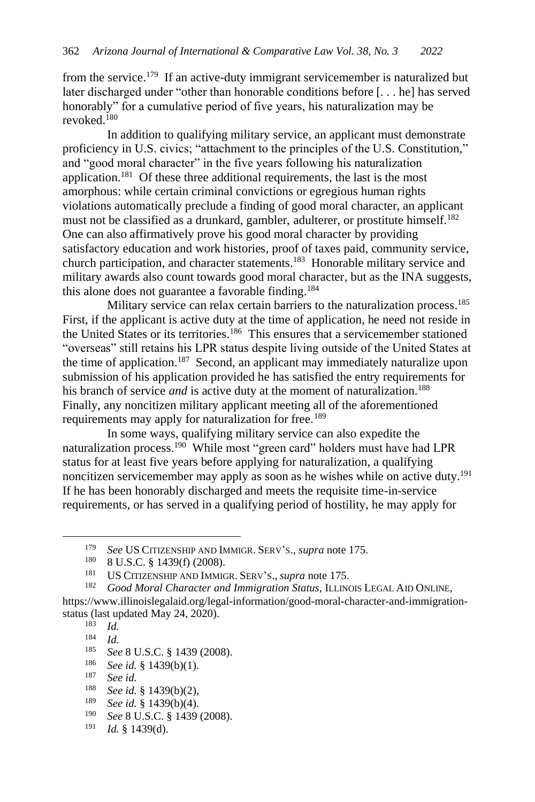from the service.<sup>179</sup> If an active-duty immigrant servicemember is naturalized but later discharged under "other than honorable conditions before [. . . he] has served honorably" for a cumulative period of five years, his naturalization may be revoked.<sup>180</sup>

In addition to qualifying military service, an applicant must demonstrate proficiency in U.S. civics; "attachment to the principles of the U.S. Constitution," and "good moral character" in the five years following his naturalization application.<sup>181</sup> Of these three additional requirements, the last is the most amorphous: while certain criminal convictions or egregious human rights violations automatically preclude a finding of good moral character, an applicant must not be classified as a drunkard, gambler, adulterer, or prostitute himself.<sup>182</sup> One can also affirmatively prove his good moral character by providing satisfactory education and work histories, proof of taxes paid, community service, church participation, and character statements.<sup>183</sup> Honorable military service and military awards also count towards good moral character, but as the INA suggests, this alone does not guarantee a favorable finding. 184

Military service can relax certain barriers to the naturalization process.<sup>185</sup> First, if the applicant is active duty at the time of application, he need not reside in the United States or its territories.<sup>186</sup> This ensures that a servicemember stationed "overseas" still retains his LPR status despite living outside of the United States at the time of application.<sup>187</sup> Second, an applicant may immediately naturalize upon submission of his application provided he has satisfied the entry requirements for his branch of service *and* is active duty at the moment of naturalization.<sup>188</sup> Finally, any noncitizen military applicant meeting all of the aforementioned requirements may apply for naturalization for free.<sup>189</sup>

In some ways, qualifying military service can also expedite the naturalization process.<sup>190</sup> While most "green card" holders must have had LPR status for at least five years before applying for naturalization, a qualifying noncitizen servicemember may apply as soon as he wishes while on active duty.<sup>191</sup> If he has been honorably discharged and meets the requisite time-in-service requirements, or has served in a qualifying period of hostility, he may apply for

<sup>189</sup> *See id.* § 1439(b)(4).

<sup>&</sup>lt;sup>179</sup> *See* US CITIZENSHIP AND IMMIGR. SERV'S., *supra* note 175.

 $^{180}$  8 U.S.C. § 1439(f) (2008).

<sup>181</sup> US CITIZENSHIP AND IMMIGR. SERV'S.,*supra* note 175.

<sup>182</sup> *Good Moral Character and Immigration Status*, ILLINOIS LEGAL AID ONLINE, https://www.illinoislegalaid.org/legal-information/good-moral-character-and-immigrationstatus (last updated May 24, 2020).<br> $\frac{183}{16}$  *M* 

 $\frac{183}{184}$  *Id.* 

 $\frac{184}{185}$  *Id.* 

<sup>185</sup> *See* 8 U.S.C. § 1439 (2008).

<sup>&</sup>lt;sup>186</sup> *See id.* § 1439(b)(1).<br><sup>187</sup> *Secid* 

<sup>187</sup> *See id.*

<sup>188</sup> *See id.* § 1439(b)(2),

<sup>190</sup> *See* 8 U.S.C. § 1439 (2008).

<sup>191</sup> *Id.* § 1439(d).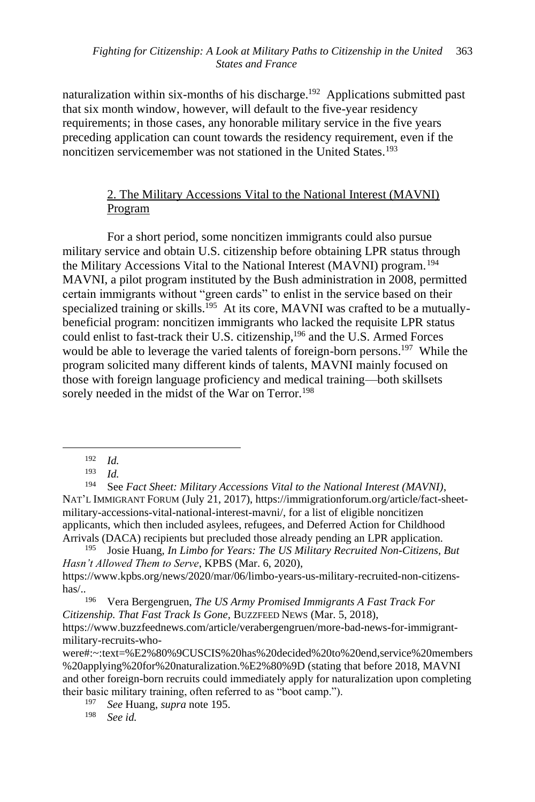naturalization within six-months of his discharge.<sup>192</sup> Applications submitted past that six month window, however, will default to the five-year residency requirements; in those cases, any honorable military service in the five years preceding application can count towards the residency requirement, even if the noncitizen servicemember was not stationed in the United States.<sup>193</sup>

# 2. The Military Accessions Vital to the National Interest (MAVNI) Program

For a short period, some noncitizen immigrants could also pursue military service and obtain U.S. citizenship before obtaining LPR status through the Military Accessions Vital to the National Interest (MAVNI) program.<sup>194</sup> MAVNI, a pilot program instituted by the Bush administration in 2008, permitted certain immigrants without "green cards" to enlist in the service based on their specialized training or skills.<sup>195</sup> At its core, MAVNI was crafted to be a mutuallybeneficial program: noncitizen immigrants who lacked the requisite LPR status could enlist to fast-track their U.S. citizenship,<sup>196</sup> and the U.S. Armed Forces would be able to leverage the varied talents of foreign-born persons.<sup>197</sup> While the program solicited many different kinds of talents, MAVNI mainly focused on those with foreign language proficiency and medical training—both skillsets sorely needed in the midst of the War on Terror.<sup>198</sup>

<sup>195</sup> Josie Huang, *In Limbo for Years: The US Military Recruited Non-Citizens, But Hasn't Allowed Them to Serve*, KPBS (Mar. 6, 2020),

https://www.kpbs.org/news/2020/mar/06/limbo-years-us-military-recruited-non-citizenshas/..

<sup>196</sup> Vera Bergengruen, *The US Army Promised Immigrants A Fast Track For Citizenship. That Fast Track Is Gone,* BUZZFEED NEWS (Mar. 5, 2018), https://www.buzzfeednews.com/article/verabergengruen/more-bad-news-for-immigrantmilitary-recruits-who-

were#:~:text=%E2%80%9CUSCIS%20has%20decided%20to%20end,service%20members %20applying%20for%20naturalization.%E2%80%9D (stating that before 2018, MAVNI and other foreign-born recruits could immediately apply for naturalization upon completing their basic military training, often referred to as "boot camp.").

<sup>197</sup> *See* Huang, *supra* note 195.

<sup>198</sup> *See id.*

<sup>192</sup> *Id.*

<sup>193</sup> *Id.*

<sup>194</sup> See *Fact Sheet: Military Accessions Vital to the National Interest (MAVNI)*, NAT'L IMMIGRANT FORUM (July 21, 2017), https://immigrationforum.org/article/fact-sheetmilitary-accessions-vital-national-interest-mavni/, for a list of eligible noncitizen applicants, which then included asylees, refugees, and Deferred Action for Childhood Arrivals (DACA) recipients but precluded those already pending an LPR application.<br><sup>195</sup> Iosie Huang *In Limbo for Years: The US Military Recruited Non-Citizens*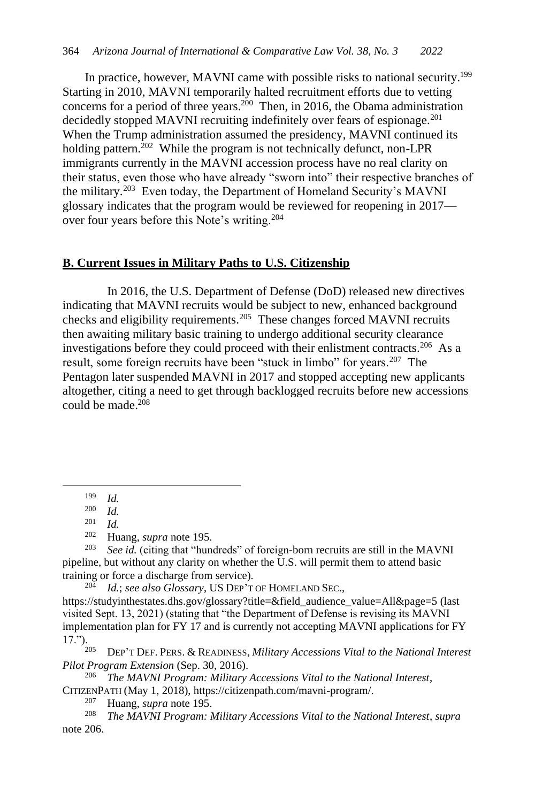In practice, however, MAVNI came with possible risks to national security.<sup>199</sup> Starting in 2010, MAVNI temporarily halted recruitment efforts due to vetting concerns for a period of three years.<sup>200</sup> Then, in 2016, the Obama administration decidedly stopped MAVNI recruiting indefinitely over fears of espionage.<sup>201</sup> When the Trump administration assumed the presidency, MAVNI continued its holding pattern.<sup>202</sup> While the program is not technically defunct, non-LPR immigrants currently in the MAVNI accession process have no real clarity on their status, even those who have already "sworn into" their respective branches of the military.<sup>203</sup> Even today, the Department of Homeland Security's MAVNI glossary indicates that the program would be reviewed for reopening in 2017 over four years before this Note's writing.<sup>204</sup>

### **B. Current Issues in Military Paths to U.S. Citizenship**

In 2016, the U.S. Department of Defense (DoD) released new directives indicating that MAVNI recruits would be subject to new, enhanced background checks and eligibility requirements.<sup>205</sup> These changes forced MAVNI recruits then awaiting military basic training to undergo additional security clearance investigations before they could proceed with their enlistment contracts.<sup>206</sup> As a result, some foreign recruits have been "stuck in limbo" for years.<sup>207</sup> The Pentagon later suspended MAVNI in 2017 and stopped accepting new applicants altogether, citing a need to get through backlogged recruits before new accessions could be made  $208$ 

See id. (citing that "hundreds" of foreign-born recruits are still in the MAVNI pipeline, but without any clarity on whether the U.S. will permit them to attend basic training or force a discharge from service).<br> $^{204}$   $Id$ : see also Glossam, US DEP'T.

Id.; see also Glossary, US DEP'T OF HOMELAND SEC.,

https://studyinthestates.dhs.gov/glossary?title=&field\_audience\_value=All&page=5 (last visited Sept. 13, 2021) (stating that "the Department of Defense is revising its MAVNI implementation plan for FY 17 and is currently not accepting MAVNI applications for FY  $17."$ ).  $205$ 

<sup>205</sup> DEP'T DEF. PERS. & READINESS, *Military Accessions Vital to the National Interest Pilot Program Extension* (Sep. 30, 2016).

*The MAVNI Program: Military Accessions Vital to the National Interest,* CITIZENPATH (May 1, 2018), https://citizenpath.com/mavni-program/.

<sup>208</sup> *The MAVNI Program: Military Accessions Vital to the National Interest*, *supra*  note 206.

 $\frac{199}{200}$  *Id.* 

 $\frac{200}{201}$  *Id.* 

<sup>201</sup> *Id.*

<sup>&</sup>lt;sup>202</sup> Huang, *supra* note 195.<br><sup>203</sup> *See id* (citing that "bung

<sup>207</sup> Huang, *supra* note 195.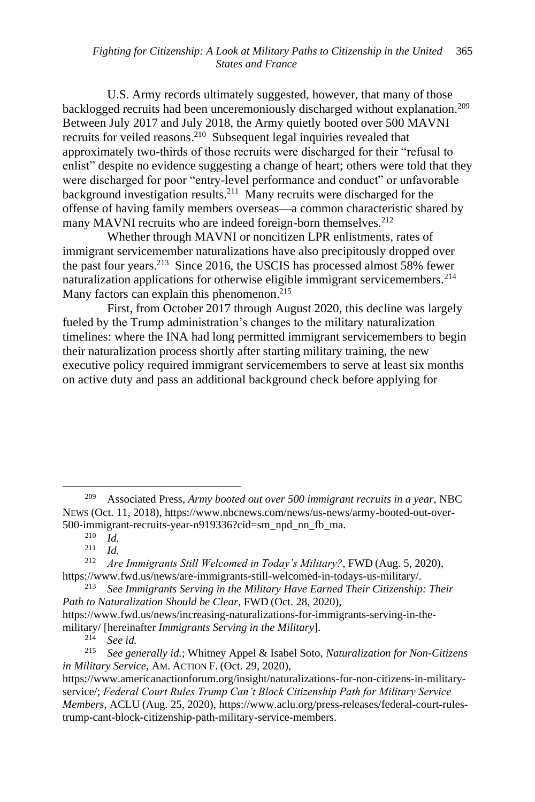U.S. Army records ultimately suggested, however, that many of those backlogged recruits had been unceremoniously discharged without explanation.<sup>209</sup> Between July 2017 and July 2018, the Army quietly booted over 500 MAVNI recruits for veiled reasons.<sup>210</sup> Subsequent legal inquiries revealed that approximately two-thirds of those recruits were discharged for their "refusal to enlist" despite no evidence suggesting a change of heart; others were told that they were discharged for poor "entry-level performance and conduct" or unfavorable background investigation results.<sup>211</sup> Many recruits were discharged for the offense of having family members overseas—a common characteristic shared by many MAVNI recruits who are indeed foreign-born themselves.<sup>212</sup>

Whether through MAVNI or noncitizen LPR enlistments, rates of immigrant servicemember naturalizations have also precipitously dropped over the past four years. 213 Since 2016, the USCIS has processed almost 58% fewer naturalization applications for otherwise eligible immigrant servicemembers.<sup>214</sup> Many factors can explain this phenomenon.<sup>215</sup>

First, from October 2017 through August 2020, this decline was largely fueled by the Trump administration's changes to the military naturalization timelines: where the INA had long permitted immigrant servicemembers to begin their naturalization process shortly after starting military training, the new executive policy required immigrant servicemembers to serve at least six months on active duty and pass an additional background check before applying for

 $\frac{210}{211}$  *Id.* 

 $\frac{211}{212}$  *Id.* 

military/ [hereinafter *Immigrants Serving in the Military*].

<sup>214</sup> *See id.*

<sup>209</sup> Associated Press, *Army booted out over 500 immigrant recruits in a year*, NBC NEWS (Oct. 11, 2018), https://www.nbcnews.com/news/us-news/army-booted-out-over-500-immigrant-recruits-year-n919336?cid=sm\_npd\_nn\_fb\_ma.

<sup>212</sup> *Are Immigrants Still Welcomed in Today's Military?*, FWD (Aug. 5, 2020), https://www.fwd.us/news/are-immigrants-still-welcomed-in-todays-us-military/.

<sup>213</sup> *See Immigrants Serving in the Military Have Earned Their Citizenship: Their Path to Naturalization Should be Clear*, FWD (Oct. 28, 2020), https://www.fwd.us/news/increasing-naturalizations-for-immigrants-serving-in-the-

<sup>215</sup> *See generally id.*; Whitney Appel & Isabel Soto, *Naturalization for Non-Citizens in Military Service*, AM. ACTION F. (Oct. 29, 2020),

https://www.americanactionforum.org/insight/naturalizations-for-non-citizens-in-militaryservice/; *Federal Court Rules Trump Can't Block Citizenship Path for Military Service Members*, ACLU (Aug. 25, 2020), https://www.aclu.org/press-releases/federal-court-rulestrump-cant-block-citizenship-path-military-service-members.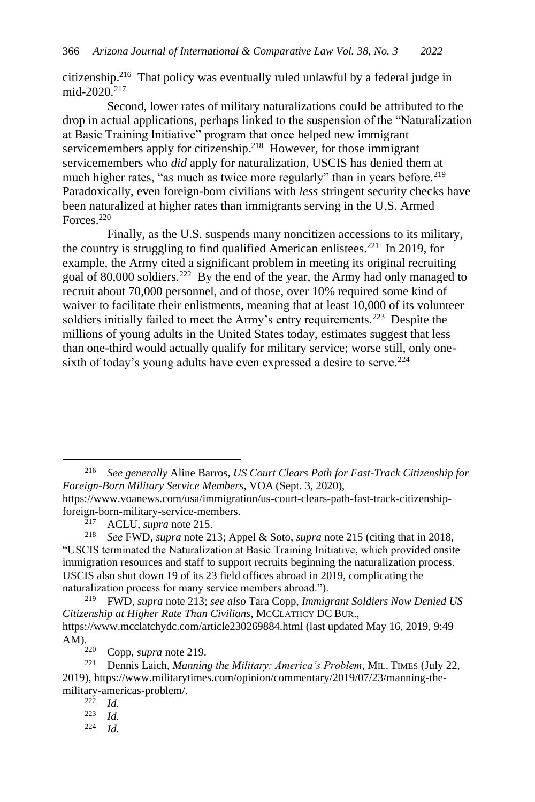citizenship.<sup>216</sup> That policy was eventually ruled unlawful by a federal judge in mid-2020.<sup>217</sup>

Second, lower rates of military naturalizations could be attributed to the drop in actual applications, perhaps linked to the suspension of the "Naturalization at Basic Training Initiative" program that once helped new immigrant servicemembers apply for citizenship.<sup>218</sup> However, for those immigrant servicemembers who *did* apply for naturalization, USCIS has denied them at much higher rates, "as much as twice more regularly" than in years before.<sup>219</sup> Paradoxically, even foreign-born civilians with *less* stringent security checks have been naturalized at higher rates than immigrants serving in the U.S. Armed Forces<sup>220</sup>

Finally, as the U.S. suspends many noncitizen accessions to its military, the country is struggling to find qualified American enlistees.<sup>221</sup> In 2019, for example, the Army cited a significant problem in meeting its original recruiting goal of 80,000 soldiers.<sup>222</sup> By the end of the year, the Army had only managed to recruit about 70,000 personnel, and of those, over 10% required some kind of waiver to facilitate their enlistments, meaning that at least 10,000 of its volunteer soldiers initially failed to meet the Army's entry requirements.<sup>223</sup> Despite the millions of young adults in the United States today, estimates suggest that less than one-third would actually qualify for military service; worse still, only onesixth of today's young adults have even expressed a desire to serve.<sup>224</sup>

<sup>216</sup> *See generally* Aline Barros, *US Court Clears Path for Fast-Track Citizenship for Foreign-Born Military Service Members*, VOA (Sept. 3, 2020),

https://www.voanews.com/usa/immigration/us-court-clears-path-fast-track-citizenshipforeign-born-military-service-members.

<sup>217</sup> ACLU, *supra* note 215.

<sup>218</sup> *See* FWD, *supra* note 213; Appel & Soto, *supra* note 215 (citing that in 2018, "USCIS terminated the Naturalization at Basic Training Initiative, which provided onsite immigration resources and staff to support recruits beginning the naturalization process. USCIS also shut down 19 of its 23 field offices abroad in 2019, complicating the naturalization process for many service members abroad.").

<sup>219</sup> FWD, *supra* note 213; *see also* Tara Copp, *Immigrant Soldiers Now Denied US Citizenship at Higher Rate Than Civilians*, MCCLATHCY DC BUR., https://www.mcclatchydc.com/article230269884.html (last updated May 16, 2019, 9:49  $AM$ ). 220

<sup>220</sup> Copp, *supra* note 219.

<sup>221</sup> Dennis Laich, *Manning the Military: America's Problem*, MIL. TIMES (July 22, 2019), https://www.militarytimes.com/opinion/commentary/2019/07/23/manning-themilitary-americas-problem/.<br> $^{222}_{22}$   $^{14}_{14}$ 

 $\frac{222}{223}$  *Id.* 

*Id.*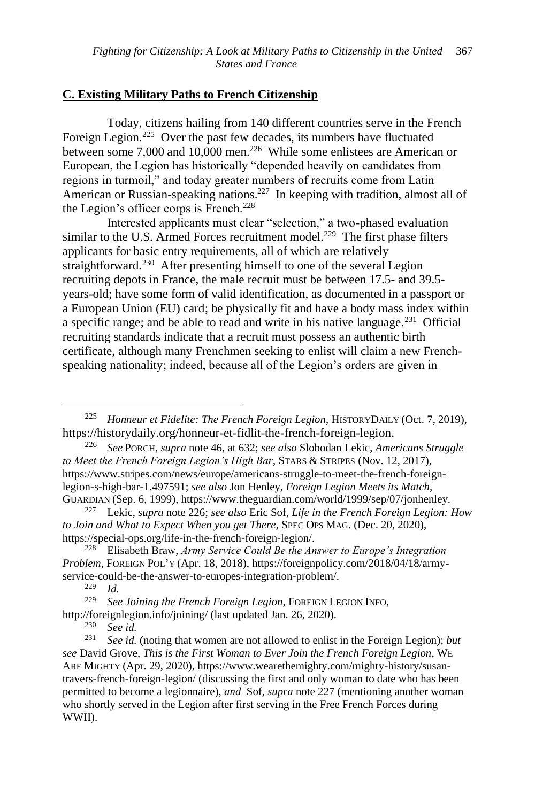# **C. Existing Military Paths to French Citizenship**

Today, citizens hailing from 140 different countries serve in the French Foreign Legion.<sup>225</sup> Over the past few decades, its numbers have fluctuated between some 7,000 and 10,000 men.<sup>226</sup> While some enlistees are American or European, the Legion has historically "depended heavily on candidates from regions in turmoil," and today greater numbers of recruits come from Latin American or Russian-speaking nations.<sup>227</sup> In keeping with tradition, almost all of the Legion's officer corps is French.<sup>228</sup>

Interested applicants must clear "selection," a two-phased evaluation similar to the U.S. Armed Forces recruitment model.<sup>229</sup> The first phase filters applicants for basic entry requirements, all of which are relatively straightforward.<sup>230</sup> After presenting himself to one of the several Legion recruiting depots in France, the male recruit must be between 17.5- and 39.5 years-old; have some form of valid identification, as documented in a passport or a European Union (EU) card; be physically fit and have a body mass index within a specific range; and be able to read and write in his native language. $^{231}$  Official recruiting standards indicate that a recruit must possess an authentic birth certificate, although many Frenchmen seeking to enlist will claim a new Frenchspeaking nationality; indeed, because all of the Legion's orders are given in

<sup>225</sup> *Honneur et Fidelite: The French Foreign Legion*, HISTORYDAILY (Oct. 7, 2019), https://historydaily.org/honneur-et-fidlit-the-french-foreign-legion.

<sup>226</sup> *See* PORCH, *supra* note 46, at 632; *see also* Slobodan Lekic, *Americans Struggle to Meet the French Foreign Legion's High Bar*, STARS & STRIPES (Nov. 12, 2017), https://www.stripes.com/news/europe/americans-struggle-to-meet-the-french-foreignlegion-s-high-bar-1.497591; *see also* Jon Henley, *Foreign Legion Meets its Match,*  GUARDIAN (Sep. 6, 1999), https://www.theguardian.com/world/1999/sep/07/jonhenley.

<sup>227</sup> Lekic, *supra* note 226; *see also* Eric Sof, *Life in the French Foreign Legion: How to Join and What to Expect When you get There*, SPEC OPS MAG. (Dec. 20, 2020), https://special-ops.org/life-in-the-french-foreign-legion/.

<sup>228</sup> Elisabeth Braw, *Army Service Could Be the Answer to Europe's Integration Problem*, FOREIGN POL'Y (Apr. 18, 2018), https://foreignpolicy.com/2018/04/18/armyservice-could-be-the-answer-to-europes-integration-problem/.<br>
<sup>229</sup> Id

<sup>229</sup> *See Joining the French Foreign Legion*, FOREIGN LEGION INFO,

http://foreignlegion.info/joining/ (last updated Jan. 26, 2020).<br><sup>230</sup> See id

See *id.* 

<sup>231</sup> *See id.* (noting that women are not allowed to enlist in the Foreign Legion); *but see* David Grove, *This is the First Woman to Ever Join the French Foreign Legion*, WE ARE MIGHTY (Apr. 29, 2020), https://www.wearethemighty.com/mighty-history/susantravers-french-foreign-legion/ (discussing the first and only woman to date who has been permitted to become a legionnaire), *and* Sof, *supra* note 227 (mentioning another woman who shortly served in the Legion after first serving in the Free French Forces during WWII).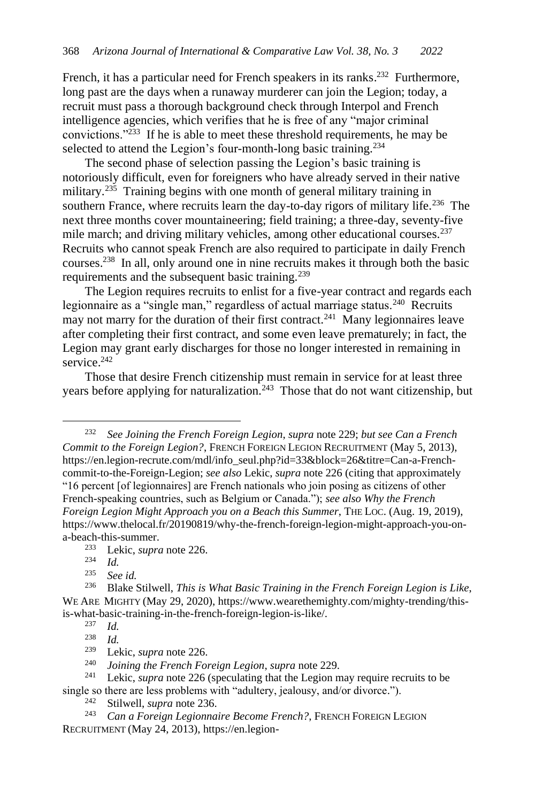French, it has a particular need for French speakers in its ranks.<sup>232</sup> Furthermore, long past are the days when a runaway murderer can join the Legion; today, a recruit must pass a thorough background check through Interpol and French intelligence agencies, which verifies that he is free of any "major criminal convictions."<sup>233</sup> If he is able to meet these threshold requirements, he may be selected to attend the Legion's four-month-long basic training.<sup>234</sup>

The second phase of selection passing the Legion's basic training is notoriously difficult, even for foreigners who have already served in their native military.<sup>235</sup> Training begins with one month of general military training in southern France, where recruits learn the day-to-day rigors of military life.<sup>236</sup> The next three months cover mountaineering; field training; a three-day, seventy-five mile march; and driving military vehicles, among other educational courses.<sup>237</sup> Recruits who cannot speak French are also required to participate in daily French courses.<sup>238</sup> In all, only around one in nine recruits makes it through both the basic requirements and the subsequent basic training.<sup>239</sup>

The Legion requires recruits to enlist for a five-year contract and regards each legionnaire as a "single man," regardless of actual marriage status.<sup>240</sup> Recruits may not marry for the duration of their first contract.<sup>241</sup> Many legionnaires leave after completing their first contract, and some even leave prematurely; in fact, the Legion may grant early discharges for those no longer interested in remaining in service.<sup>242</sup>

Those that desire French citizenship must remain in service for at least three years before applying for naturalization.<sup>243</sup> Those that do not want citizenship, but

<sup>232</sup> *See Joining the French Foreign Legion*, *supra* note 229; *but see Can a French Commit to the Foreign Legion?*, FRENCH FOREIGN LEGION RECRUITMENT (May 5, 2013), https://en.legion-recrute.com/mdl/info\_seul.php?id=33&block=26&titre=Can-a-Frenchcommit-to-the-Foreign-Legion; *see also* Lekic, *supra* note 226 (citing that approximately "16 percent [of legionnaires] are French nationals who join posing as citizens of other French-speaking countries, such as Belgium or Canada."); *see also Why the French Foreign Legion Might Approach you on a Beach this Summer*, THE LOC. (Aug. 19, 2019), https://www.thelocal.fr/20190819/why-the-french-foreign-legion-might-approach-you-ona-beach-this-summer.

<sup>233</sup> Lekic, *supra* note 226.

 $\frac{234}{235}$  *Id.* 

<sup>235</sup> *See id.*

<sup>236</sup> Blake Stilwell, *This is What Basic Training in the French Foreign Legion is Like*, WE ARE MIGHTY (May 29, 2020), https://www.wearethemighty.com/mighty-trending/thisis-what-basic-training-in-the-french-foreign-legion-is-like/.<br> $^{237}$   $^{14}$ 

 $\frac{237}{238}$  *Id.* 

 $\frac{238}{239}$  *Id.* 

Lekic, *supra* note 226.

<sup>240</sup> *Joining the French Foreign Legion*, *supra* note 229.

<sup>241</sup> Lekic, *supra* note 226 (speculating that the Legion may require recruits to be single so there are less problems with "adultery, jealousy, and/or divorce.").

<sup>242</sup> Stilwell, *supra* note 236.

<sup>243</sup> *Can a Foreign Legionnaire Become French?*, FRENCH FOREIGN LEGION RECRUITMENT (May 24, 2013), https://en.legion-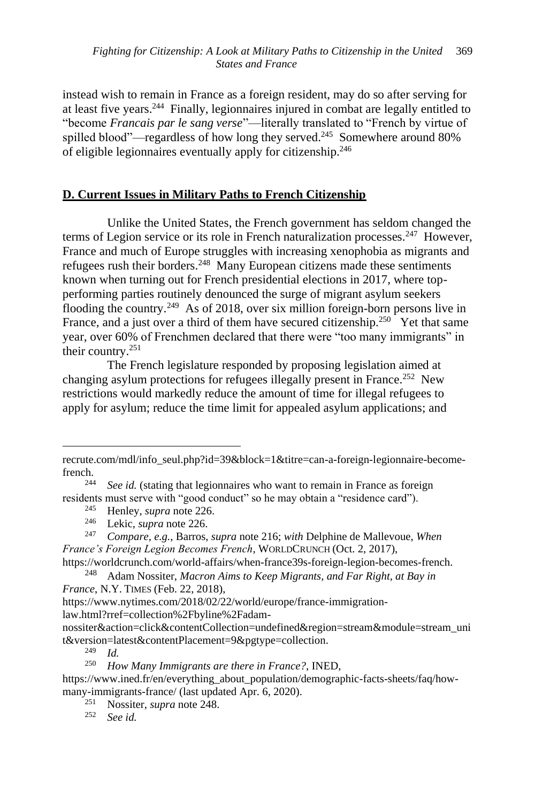instead wish to remain in France as a foreign resident, may do so after serving for at least five years.<sup>244</sup> Finally, legionnaires injured in combat are legally entitled to "become *Francais par le sang verse*"—literally translated to "French by virtue of spilled blood"—regardless of how long they served.<sup>245</sup> Somewhere around 80% of eligible legionnaires eventually apply for citizenship.<sup>246</sup>

# **D. Current Issues in Military Paths to French Citizenship**

Unlike the United States, the French government has seldom changed the terms of Legion service or its role in French naturalization processes.<sup>247</sup> However, France and much of Europe struggles with increasing xenophobia as migrants and refugees rush their borders.<sup>248</sup> Many European citizens made these sentiments known when turning out for French presidential elections in 2017, where topperforming parties routinely denounced the surge of migrant asylum seekers flooding the country.<sup>249</sup> As of 2018, over six million foreign-born persons live in France, and a just over a third of them have secured citizenship.<sup>250</sup> Yet that same year, over 60% of Frenchmen declared that there were "too many immigrants" in their country. 251

The French legislature responded by proposing legislation aimed at changing asylum protections for refugees illegally present in France.<sup>252</sup> New restrictions would markedly reduce the amount of time for illegal refugees to apply for asylum; reduce the time limit for appealed asylum applications; and

recrute.com/mdl/info\_seul.php?id=39&block=1&titre=can-a-foreign-legionnaire-becomefrench.<br><sup>244</sup>

See id. (stating that legionnaires who want to remain in France as foreign residents must serve with "good conduct" so he may obtain a "residence card").

<sup>245</sup> Henley, *supra* note 226.

<sup>&</sup>lt;sup>246</sup> Lekic, *supra* note 226.<br><sup>247</sup> Compare e g Barros

<sup>247</sup> *Compare, e.g.*, Barros, *supra* note 216; *with* Delphine de Mallevoue, *When France's Foreign Legion Becomes French*, WORLDCRUNCH (Oct. 2, 2017), https://worldcrunch.com/world-affairs/when-france39s-foreign-legion-becomes-french.

<sup>248</sup> Adam Nossiter, *Macron Aims to Keep Migrants, and Far Right, at Bay in France*, N.Y. TIMES (Feb. 22, 2018),

https://www.nytimes.com/2018/02/22/world/europe/france-immigrationlaw.html?rref=collection%2Fbyline%2Fadam-

nossiter&action=click&contentCollection=undefined&region=stream&module=stream\_uni t&version=latest&contentPlacement=9&pgtype=collection.

<sup>249</sup> *Id.*

<sup>250</sup> *How Many Immigrants are there in France?*, INED,

https://www.ined.fr/en/everything\_about\_population/demographic-facts-sheets/faq/howmany-immigrants-france/ (last updated Apr. 6, 2020).

<sup>251</sup> Nossiter, *supra* note 248.

<sup>252</sup> *See id.*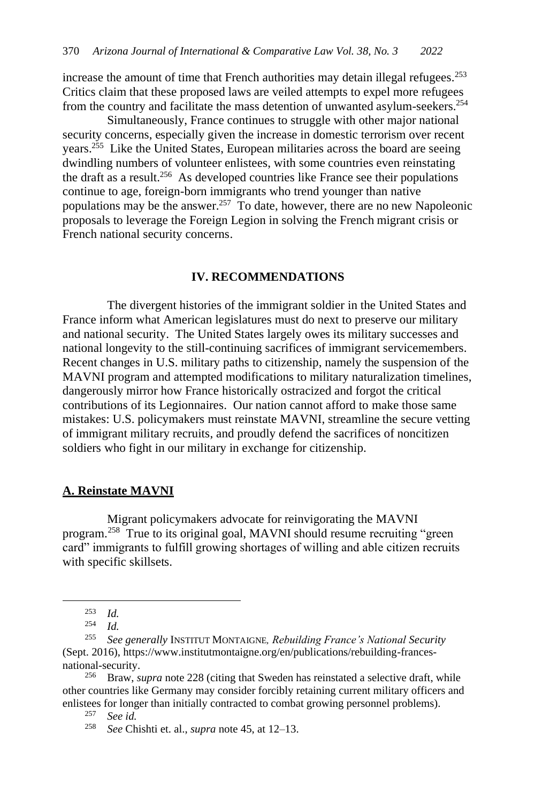increase the amount of time that French authorities may detain illegal refugees.<sup>253</sup> Critics claim that these proposed laws are veiled attempts to expel more refugees from the country and facilitate the mass detention of unwanted asylum-seekers.<sup>254</sup>

Simultaneously, France continues to struggle with other major national security concerns, especially given the increase in domestic terrorism over recent years.<sup>255</sup> Like the United States, European militaries across the board are seeing dwindling numbers of volunteer enlistees, with some countries even reinstating the draft as a result.<sup>256</sup> As developed countries like France see their populations continue to age, foreign-born immigrants who trend younger than native populations may be the answer.<sup>257</sup> To date, however, there are no new Napoleonic proposals to leverage the Foreign Legion in solving the French migrant crisis or French national security concerns.

#### **IV. RECOMMENDATIONS**

The divergent histories of the immigrant soldier in the United States and France inform what American legislatures must do next to preserve our military and national security. The United States largely owes its military successes and national longevity to the still-continuing sacrifices of immigrant servicemembers. Recent changes in U.S. military paths to citizenship, namely the suspension of the MAVNI program and attempted modifications to military naturalization timelines, dangerously mirror how France historically ostracized and forgot the critical contributions of its Legionnaires. Our nation cannot afford to make those same mistakes: U.S. policymakers must reinstate MAVNI, streamline the secure vetting of immigrant military recruits, and proudly defend the sacrifices of noncitizen soldiers who fight in our military in exchange for citizenship.

#### **A. Reinstate MAVNI**

Migrant policymakers advocate for reinvigorating the MAVNI program.<sup>258</sup> True to its original goal, MAVNI should resume recruiting "green card" immigrants to fulfill growing shortages of willing and able citizen recruits with specific skillsets.

 $\frac{253}{254}$  *Id.* 

 $\frac{254}{255}$  *Id.* 

<sup>255</sup> *See generally* INSTITUT MONTAIGNE*, Rebuilding France's National Security* (Sept. 2016), https://www.institutmontaigne.org/en/publications/rebuilding-francesnational-security.

<sup>256</sup> Braw, *supra* note 228 (citing that Sweden has reinstated a selective draft, while other countries like Germany may consider forcibly retaining current military officers and enlistees for longer than initially contracted to combat growing personnel problems).<br> $\frac{257}{257}$  See id

See id.

<sup>258</sup> *See* Chishti et. al., *supra* note 45, at 12–13.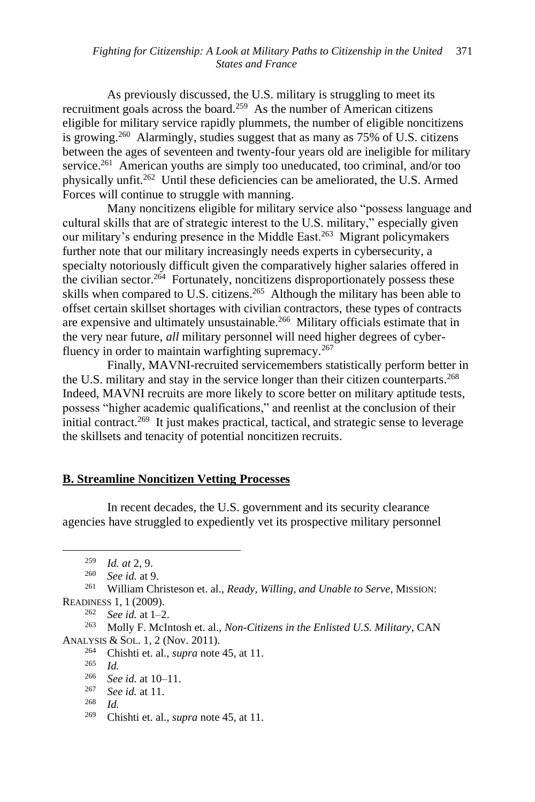As previously discussed, the U.S. military is struggling to meet its recruitment goals across the board.<sup>259</sup> As the number of American citizens eligible for military service rapidly plummets, the number of eligible noncitizens is growing.<sup>260</sup> Alarmingly, studies suggest that as many as 75% of U.S. citizens between the ages of seventeen and twenty-four years old are ineligible for military service.<sup>261</sup> American youths are simply too uneducated, too criminal, and/or too physically unfit.<sup>262</sup> Until these deficiencies can be ameliorated, the U.S. Armed Forces will continue to struggle with manning.

Many noncitizens eligible for military service also "possess language and cultural skills that are of strategic interest to the U.S. military," especially given our military's enduring presence in the Middle East.<sup>263</sup> Migrant policymakers further note that our military increasingly needs experts in cybersecurity, a specialty notoriously difficult given the comparatively higher salaries offered in the civilian sector.<sup>264</sup> Fortunately, noncitizens disproportionately possess these skills when compared to U.S. citizens.<sup>265</sup> Although the military has been able to offset certain skillset shortages with civilian contractors, these types of contracts are expensive and ultimately unsustainable.<sup>266</sup> Military officials estimate that in the very near future, *all* military personnel will need higher degrees of cyberfluency in order to maintain warfighting supremacy.<sup>267</sup>

Finally, MAVNI-recruited servicemembers statistically perform better in the U.S. military and stay in the service longer than their citizen counterparts. 268 Indeed, MAVNI recruits are more likely to score better on military aptitude tests, possess "higher academic qualifications," and reenlist at the conclusion of their initial contract.<sup>269</sup> It just makes practical, tactical, and strategic sense to leverage the skillsets and tenacity of potential noncitizen recruits.

### **B. Streamline Noncitizen Vetting Processes**

In recent decades, the U.S. government and its security clearance agencies have struggled to expediently vet its prospective military personnel

<sup>264</sup> Chishti et. al., *supra* note 45, at 11.<br><sup>265</sup> *M* 

- <sup>267</sup> *See id.* at 11.
- <sup>268</sup> *Id.*
- <sup>269</sup> Chishti et. al., *supra* note 45, at 11.

 $\frac{259}{260}$  *Id. at* 2, 9.

<sup>260</sup> *See id.* at 9.

<sup>261</sup> William Christeson et. al., *Ready, Willing, and Unable to Serve*, MISSION: READINESS 1, 1 (2009).

<sup>&</sup>lt;sup>262</sup> *See id.* at 1–2.<br><sup>263</sup> **Molly E McIn** 

<sup>263</sup> Molly F. McIntosh et. al., *Non-Citizens in the Enlisted U.S. Military*, CAN ANALYSIS & SOL. 1, 2 (Nov. 2011).

<sup>265</sup> *Id.*

<sup>266</sup> *See id.* at 10–11.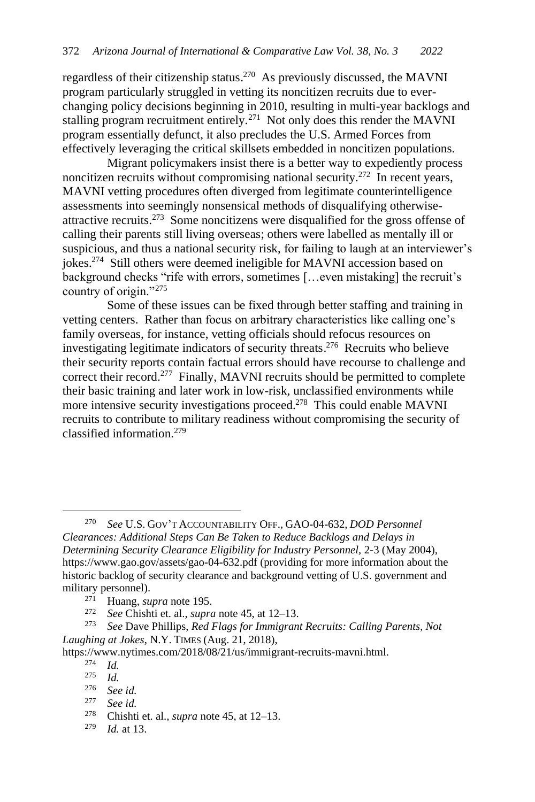regardless of their citizenship status. 270 As previously discussed, the MAVNI program particularly struggled in vetting its noncitizen recruits due to everchanging policy decisions beginning in 2010, resulting in multi-year backlogs and stalling program recruitment entirely.<sup>271</sup> Not only does this render the MAVNI program essentially defunct, it also precludes the U.S. Armed Forces from effectively leveraging the critical skillsets embedded in noncitizen populations.

Migrant policymakers insist there is a better way to expediently process noncitizen recruits without compromising national security.<sup>272</sup> In recent years, MAVNI vetting procedures often diverged from legitimate counterintelligence assessments into seemingly nonsensical methods of disqualifying otherwiseattractive recruits.<sup>273</sup> Some noncitizens were disqualified for the gross offense of calling their parents still living overseas; others were labelled as mentally ill or suspicious, and thus a national security risk, for failing to laugh at an interviewer's jokes.<sup>274</sup> Still others were deemed ineligible for MAVNI accession based on background checks "rife with errors, sometimes […even mistaking] the recruit's country of origin."<sup>275</sup>

Some of these issues can be fixed through better staffing and training in vetting centers. Rather than focus on arbitrary characteristics like calling one's family overseas, for instance, vetting officials should refocus resources on investigating legitimate indicators of security threats. 276 Recruits who believe their security reports contain factual errors should have recourse to challenge and correct their record.<sup>277</sup> Finally, MAVNI recruits should be permitted to complete their basic training and later work in low-risk, unclassified environments while more intensive security investigations proceed.<sup>278</sup> This could enable MAVNI recruits to contribute to military readiness without compromising the security of classified information.<sup>279</sup>

<sup>270</sup> *See* U.S. GOV'T ACCOUNTABILITY OFF., GAO-04-632, *DOD Personnel Clearances: Additional Steps Can Be Taken to Reduce Backlogs and Delays in Determining Security Clearance Eligibility for Industry Personnel,* 2-3 (May 2004), https://www.gao.gov/assets/gao-04-632.pdf (providing for more information about the historic backlog of security clearance and background vetting of U.S. government and military personnel).

<sup>&</sup>lt;sup>271</sup> Huang, *supra* note 195.

<sup>272</sup> *See* Chishti et. al., *supra* note 45, at 12–13.

<sup>273</sup> *See* Dave Phillips, *Red Flags for Immigrant Recruits: Calling Parents, Not Laughing at Jokes*, N.Y. TIMES (Aug. 21, 2018),

https://www.nytimes.com/2018/08/21/us/immigrant-recruits-mavni.html.

 $\frac{274}{275}$  *Id.* 

<sup>275</sup> *Id.*

<sup>276</sup> *See id.*

See *id.* 

<sup>278</sup> Chishti et. al., *supra* note 45, at 12–13.

<sup>279</sup> *Id.* at 13.